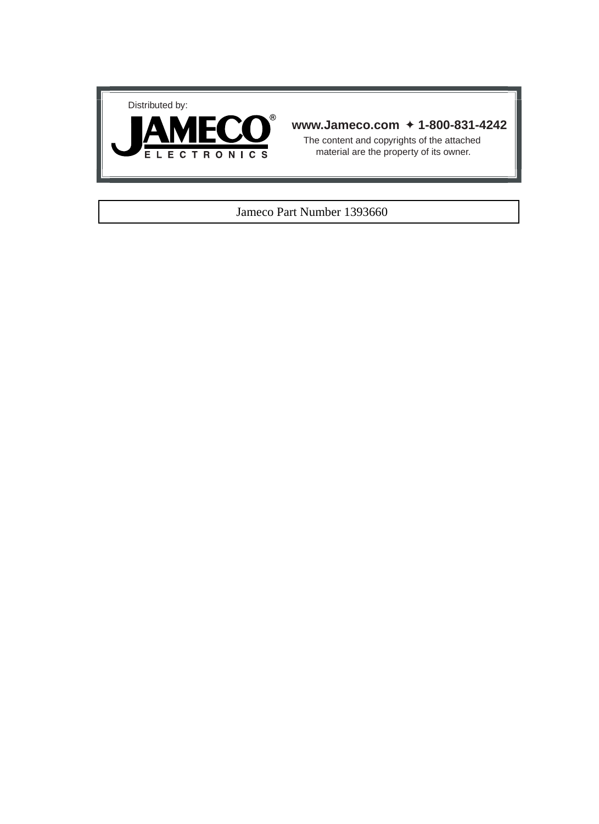



# **www.Jameco.com** ✦ **1-800-831-4242**

The content and copyrights of the attached material are the property of its owner.

### Jameco Part Number 1393660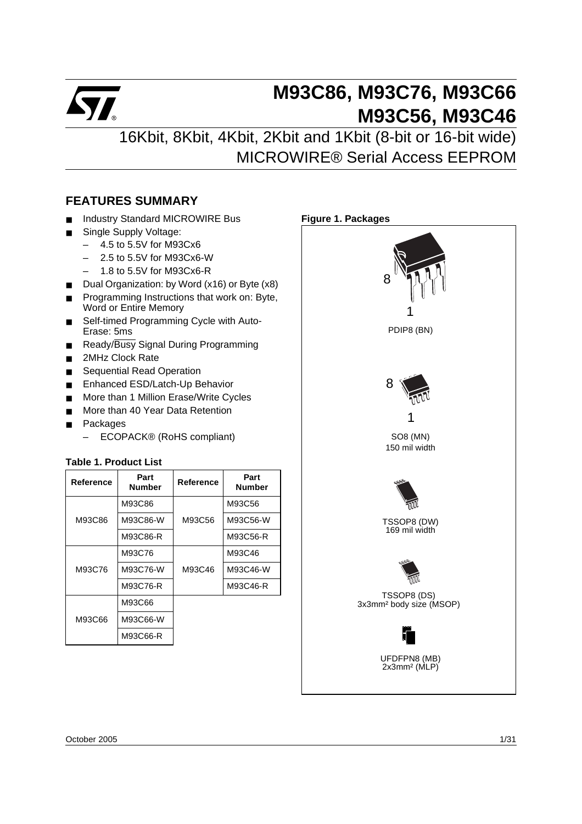

# **M93C86, M93C76, M93C66 M93C56, M93C46**

16Kbit, 8Kbit, 4Kbit, 2Kbit and 1Kbit (8-bit or 16-bit wide) MICROWIRE® Serial Access EEPROM

# <span id="page-1-0"></span>**FEATURES SUMMARY**

- Industry Standard MICROWIRE Bus
- Single Supply Voltage:
	- 4.5 to 5.5V for M93Cx6
	- 2.5 to 5.5V for M93Cx6-W
	- 1.8 to 5.5V for M93Cx6-R
- Dual Organization: by Word (x16) or Byte (x8)
- Programming Instructions that work on: Byte, Word or Entire Memory
- Self-timed Programming Cycle with Auto-Erase: 5ms
- Ready/Busy Signal During Programming
- 2MHz Clock Rate
- Sequential Read Operation
- Enhanced ESD/Latch-Up Behavior
- More than 1 Million Erase/Write Cycles
- More than 40 Year Data Retention
- **Packages** 
	- ECOPACK® (RoHS compliant)

### <span id="page-1-1"></span>**Table 1. Product List**

| Reference | Part<br><b>Number</b> | Reference | Part<br><b>Number</b> |
|-----------|-----------------------|-----------|-----------------------|
|           | M93C86                |           | M93C56                |
| M93C86    | M93C86-W              | M93C56    | M93C56-W              |
|           | M93C86-R              |           | M93C56-R              |
|           | M93C76                |           | M93C46                |
| M93C76    | M93C76-W              | M93C46    | M93C46-W              |
|           | M93C76-R              |           | M93C46-R              |
|           | M93C66                |           |                       |
| M93C66    | M93C66-W              |           |                       |
|           | M93C66-R              |           |                       |

<span id="page-1-2"></span>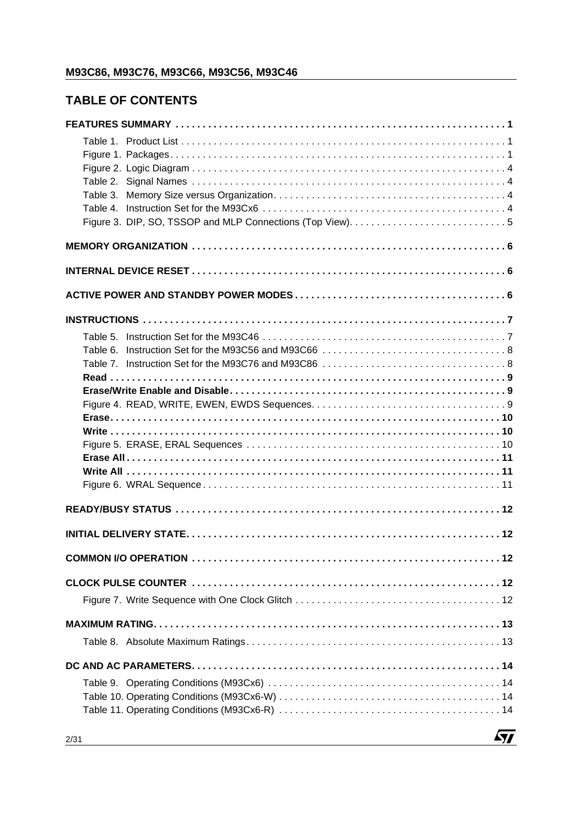# **TABLE OF CONTENTS**

| Table 3. |
|----------|
|          |
|          |
|          |
|          |
|          |
|          |
|          |
|          |
| Table 6. |
|          |
|          |
|          |
|          |
|          |
|          |
|          |
|          |
|          |
|          |
|          |
|          |
|          |
|          |
|          |
|          |
|          |
|          |
|          |
|          |
|          |

 $\sqrt{M}$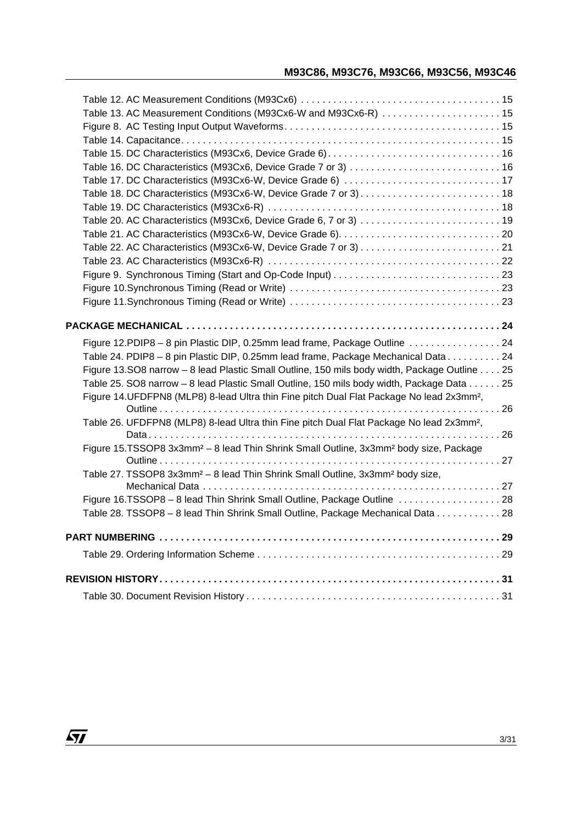| Table 13. AC Measurement Conditions (M93Cx6-W and M93Cx6-R)  15                                               |  |
|---------------------------------------------------------------------------------------------------------------|--|
|                                                                                                               |  |
|                                                                                                               |  |
|                                                                                                               |  |
| Table 16. DC Characteristics (M93Cx6, Device Grade 7 or 3)  16                                                |  |
|                                                                                                               |  |
|                                                                                                               |  |
|                                                                                                               |  |
|                                                                                                               |  |
|                                                                                                               |  |
|                                                                                                               |  |
|                                                                                                               |  |
|                                                                                                               |  |
|                                                                                                               |  |
|                                                                                                               |  |
|                                                                                                               |  |
|                                                                                                               |  |
| Figure 12.PDIP8 - 8 pin Plastic DIP, 0.25mm lead frame, Package Outline  24                                   |  |
| Table 24. PDIP8 - 8 pin Plastic DIP, 0.25mm lead frame, Package Mechanical Data 24                            |  |
| Figure 13.SO8 narrow - 8 lead Plastic Small Outline, 150 mils body width, Package Outline 25                  |  |
| Table 25. SO8 narrow - 8 lead Plastic Small Outline, 150 mils body width, Package Data 25                     |  |
| Figure 14.UFDFPN8 (MLP8) 8-lead Ultra thin Fine pitch Dual Flat Package No lead 2x3mm <sup>2</sup> ,          |  |
|                                                                                                               |  |
| Table 26. UFDFPN8 (MLP8) 8-lead Ultra thin Fine pitch Dual Flat Package No lead 2x3mm <sup>2</sup> ,          |  |
| Figure 15.TSSOP8 3x3mm <sup>2</sup> - 8 lead Thin Shrink Small Outline, 3x3mm <sup>2</sup> body size, Package |  |
|                                                                                                               |  |
| Table 27. TSSOP8 3x3mm <sup>2</sup> - 8 lead Thin Shrink Small Outline, 3x3mm <sup>2</sup> body size,         |  |
|                                                                                                               |  |
| Figure 16.TSSOP8 - 8 lead Thin Shrink Small Outline, Package Outline  28                                      |  |
| Table 28. TSSOP8 - 8 lead Thin Shrink Small Outline, Package Mechanical Data 28                               |  |
|                                                                                                               |  |
|                                                                                                               |  |
|                                                                                                               |  |
|                                                                                                               |  |
|                                                                                                               |  |
|                                                                                                               |  |
|                                                                                                               |  |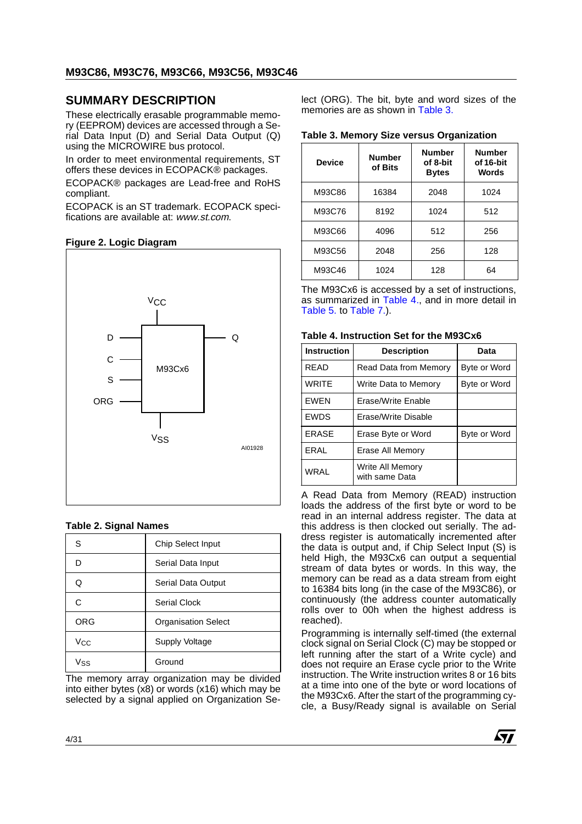# **SUMMARY DESCRIPTION**

These electrically erasable programmable memory (EEPROM) devices are accessed through a Serial Data Input (D) and Serial Data Output (Q) using the MICROWIRE bus protocol.

In order to meet environmental requirements, ST offers these devices in ECOPACK® packages.

ECOPACK® packages are Lead-free and RoHS compliant.

ECOPACK is an ST trademark. ECOPACK specifications are available at: www.st.com.

### <span id="page-4-0"></span>**Figure 2. Logic Diagram**



#### <span id="page-4-1"></span>**Table 2. Signal Names**

| S          | Chip Select Input          |
|------------|----------------------------|
| D          | Serial Data Input          |
| Q          | Serial Data Output         |
| C          | Serial Clock               |
| <b>ORG</b> | <b>Organisation Select</b> |
| Vcc        | Supply Voltage             |
| $V_{SS}$   | Ground                     |

The memory array organization may be divided into either bytes (x8) or words (x16) which may be selected by a signal applied on Organization Select (ORG). The bit, byte and word sizes of the memories are as shown in [Table 3.](#page-4-2)

#### <span id="page-4-2"></span>**Table 3. Memory Size versus Organization**

| <b>Device</b> | <b>Number</b><br>of Bits | <b>Number</b><br>of 8-bit<br><b>Bytes</b> | <b>Number</b><br>of 16-bit<br><b>Words</b> |
|---------------|--------------------------|-------------------------------------------|--------------------------------------------|
| M93C86        | 16384                    | 2048                                      | 1024                                       |
| M93C76        | 8192                     | 1024                                      | 512                                        |
| M93C66        | 4096                     | 512                                       | 256                                        |
| M93C56        | 2048                     | 256                                       | 128                                        |
| M93C46        | 1024                     | 128                                       | 64                                         |

The M93Cx6 is accessed by a set of instructions, as summarized in [Table 4.](#page-4-3), and in more detail in [Table 5.](#page-7-1) to [Table 7.](#page-8-1)).

#### <span id="page-4-3"></span>**Table 4. Instruction Set for the M93Cx6**

| <b>Instruction</b> | <b>Description</b>                 | Data         |
|--------------------|------------------------------------|--------------|
| <b>RFAD</b>        | Read Data from Memory              | Byte or Word |
| <b>WRITE</b>       | Write Data to Memory               | Byte or Word |
| <b>FWFN</b>        | Erase/Write Enable                 |              |
| <b>EWDS</b>        | Erase/Write Disable                |              |
| <b>ERASE</b>       | Erase Byte or Word                 | Byte or Word |
| FRAI               | Erase All Memory                   |              |
| WRAI               | Write All Memory<br>with same Data |              |

A Read Data from Memory (READ) instruction loads the address of the first byte or word to be read in an internal address register. The data at this address is then clocked out serially. The address register is automatically incremented after the data is output and, if Chip Select Input (S) is held High, the M93Cx6 can output a sequential stream of data bytes or words. In this way, the memory can be read as a data stream from eight to 16384 bits long (in the case of the M93C86), or continuously (the address counter automatically rolls over to 00h when the highest address is reached).

Programming is internally self-timed (the external clock signal on Serial Clock (C) may be stopped or left running after the start of a Write cycle) and does not require an Erase cycle prior to the Write instruction. The Write instruction writes 8 or 16 bits at a time into one of the byte or word locations of the M93Cx6. After the start of the programming cycle, a Busy/Ready signal is available on Serial

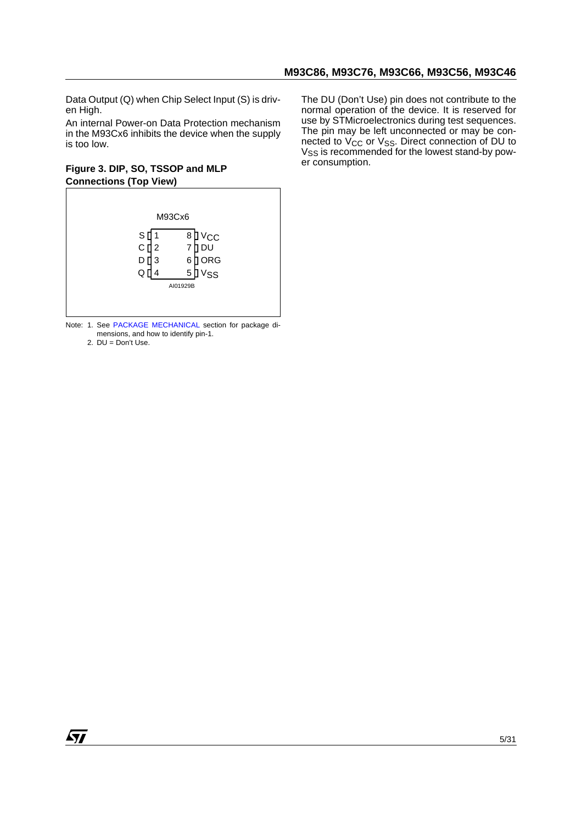Data Output (Q) when Chip Select Input (S) is driven High.

An internal Power-on Data Protection mechanism in the M93Cx6 inhibits the device when the supply is too low.

### <span id="page-5-0"></span>**Figure 3. DIP, SO, TSSOP and MLP Connections (Top View)**



Note: 1. See [PACKAGE MECHANICAL](#page-24-0) section for package dimensions, and how to identify pin-1.

2. DU = Don't Use.

The DU (Don't Use) pin does not contribute to the normal operation of the device. It is reserved for use by STMicroelectronics during test sequences. The pin may be left unconnected or may be connected to  $V_{CC}$  or  $V_{SS}$ . Direct connection of DU to V<sub>SS</sub> is recommended for the lowest stand-by power consumption.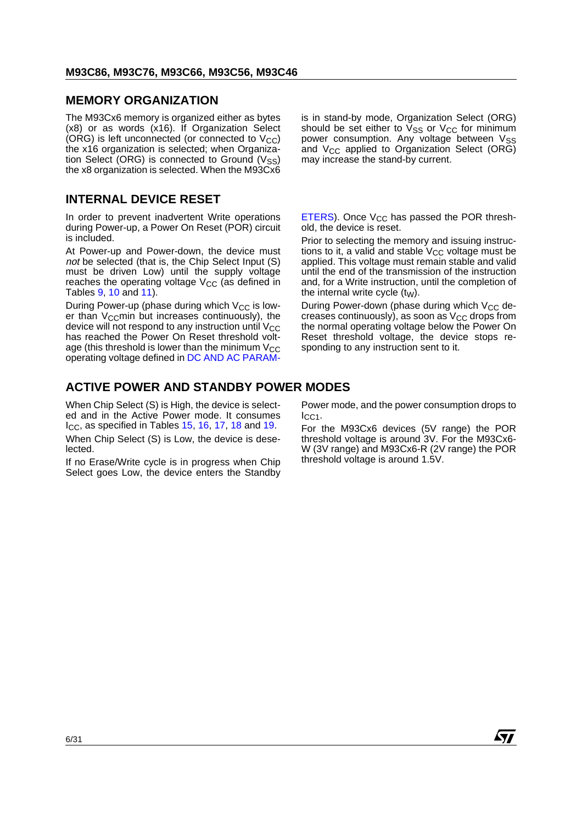# <span id="page-6-0"></span>**MEMORY ORGANIZATION**

The M93Cx6 memory is organized either as bytes (x8) or as words (x16). If Organization Select (ORG) is left unconnected (or connected to  $V_{CC}$ ) the x16 organization is selected; when Organization Select (ORG) is connected to Ground  $(V_{SS})$ the x8 organization is selected. When the M93Cx6

# <span id="page-6-1"></span>**INTERNAL DEVICE RESET**

In order to prevent inadvertent Write operations during Power-up, a Power On Reset (POR) circuit is included.

At Power-up and Power-down, the device must not be selected (that is, the Chip Select Input (S) must be driven Low) until the supply voltage reaches the operating voltage  $V_{CC}$  (as defined in Tables [9](#page-14-1), [10](#page-14-2) and [11\)](#page-14-3).

During Power-up (phase during which  $V_{CC}$  is lower than  $V_{\text{CC}}$ min but increases continuously), the device will not respond to any instruction until  $V_{CC}$ has reached the Power On Reset threshold voltage (this threshold is lower than the minimum  $V_{CC}$ operating voltage defined in [DC AND AC PARAM-](#page-14-0)

<span id="page-6-2"></span>**ACTIVE POWER AND STANDBY POWER MODES**

When Chip Select (S) is High, the device is selected and in the Active Power mode. It consumes  $I_{\rm CC}$ , as specified in Tables [15](#page-16-0), [16,](#page-16-1) [17](#page-17-0), [18](#page-18-0) and [19](#page-18-1).

When Chip Select (S) is Low, the device is deselected.

If no Erase/Write cycle is in progress when Chip Select goes Low, the device enters the Standby is in stand-by mode, Organization Select (ORG) should be set either to  $V_{SS}$  or  $V_{CC}$  for minimum power consumption. Any voltage between VSS and  $V_{CC}$  applied to Organization Select (ORG) may increase the stand-by current.

[ETERS](#page-14-0)). Once  $V_{CC}$  has passed the POR threshold, the device is reset.

Prior to selecting the memory and issuing instructions to it, a valid and stable  $V_{CC}$  voltage must be applied. This voltage must remain stable and valid until the end of the transmission of the instruction and, for a Write instruction, until the completion of the internal write cycle  $(t_W)$ .

During Power-down (phase during which  $V_{CC}$  decreases continuously), as soon as  $V_{CC}$  drops from the normal operating voltage below the Power On Reset threshold voltage, the device stops responding to any instruction sent to it.

Power mode, and the power consumption drops to ICC1.

For the M93Cx6 devices (5V range) the POR threshold voltage is around 3V. For the M93Cx6- W (3V range) and M93Cx6-R (2V range) the POR threshold voltage is around 1.5V.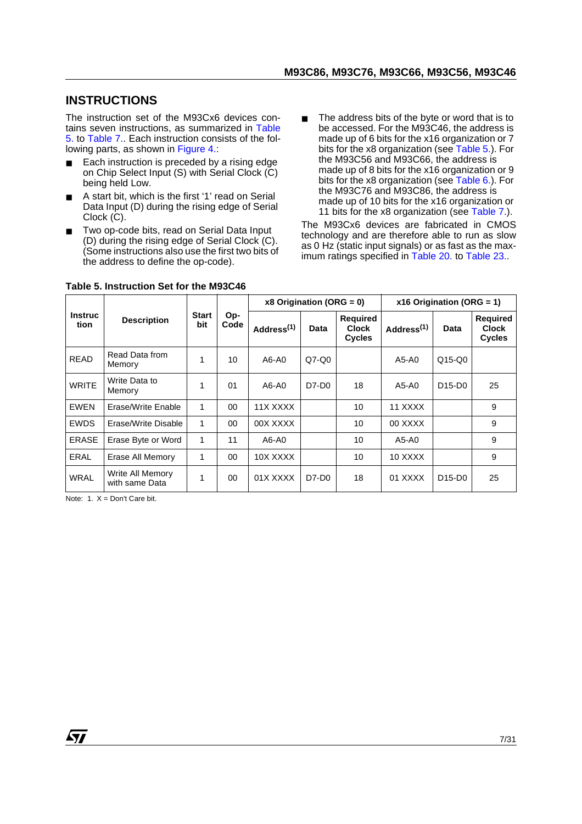# <span id="page-7-0"></span>**INSTRUCTIONS**

The instruction set of the M93Cx6 devices contains seven instructions, as summarized in [Table](#page-7-1) [5.](#page-7-1) to [Table 7..](#page-8-1) Each instruction consists of the fol-lowing parts, as shown in [Figure 4.](#page-9-2)

- Each instruction is preceded by a rising edge on Chip Select Input (S) with Serial Clock (C) being held Low.
- A start bit, which is the first '1' read on Serial Data Input (D) during the rising edge of Serial Clock (C).
- Two op-code bits, read on Serial Data Input (D) during the rising edge of Serial Clock (C). (Some instructions also use the first two bits of the address to define the op-code).
- The address bits of the byte or word that is to be accessed. For the M93C46, the address is made up of 6 bits for the x16 organization or 7 bits for the x8 organization (see [Table 5.\)](#page-7-1). For the M93C56 and M93C66, the address is made up of 8 bits for the x16 organization or 9 bits for the x8 organization (see [Table 6.\)](#page-8-0). For the M93C76 and M93C86, the address is made up of 10 bits for the x16 organization or 11 bits for the x8 organization (see [Table 7.](#page-8-1)).

The M93Cx6 devices are fabricated in CMOS technology and are therefore able to run as slow as 0 Hz (static input signals) or as fast as the maximum ratings specified in [Table 20.](#page-19-0) to [Table 23.](#page-22-0).

|                 | <b>Description</b>                 | <b>Start</b><br>bit |             | $x8$ Origination (ORG = 0) |         |                                                  | x16 Origination (ORG = 1) |                                 |                                                  |
|-----------------|------------------------------------|---------------------|-------------|----------------------------|---------|--------------------------------------------------|---------------------------|---------------------------------|--------------------------------------------------|
| Instruc<br>tion |                                    |                     | Op-<br>Code | Address <sup>(1)</sup>     | Data    | <b>Required</b><br><b>Clock</b><br><b>Cycles</b> | Address <sup>(1)</sup>    | Data                            | <b>Required</b><br><b>Clock</b><br><b>Cycles</b> |
| <b>READ</b>     | Read Data from<br>Memory           | 1                   | 10          | A6-A0                      | $Q7-Q0$ |                                                  | A5-A0                     | $Q15-Q0$                        |                                                  |
| <b>WRITE</b>    | Write Data to<br>Memory            | 1                   | 01          | A6-A0                      | D7-D0   | 18                                               | A5-A0                     | D <sub>15</sub> -D <sub>0</sub> | 25                                               |
| <b>EWEN</b>     | Erase/Write Enable                 | $\mathbf{1}$        | $00\,$      | 11X XXXX                   |         | 10                                               | 11 XXXX                   |                                 | 9                                                |
| EWDS            | Erase/Write Disable                | 1                   | $00 \,$     | 00X XXXX                   |         | 10                                               | 00 XXXX                   |                                 | 9                                                |
| <b>ERASE</b>    | Erase Byte or Word                 | 1                   | 11          | A6-A0                      |         | 10                                               | A5-A0                     |                                 | 9                                                |
| <b>ERAL</b>     | Erase All Memory                   | 1                   | $00\,$      | 10X XXXX                   |         | 10                                               | 10 XXXX                   |                                 | 9                                                |
| <b>WRAL</b>     | Write All Memory<br>with same Data | 1                   | $00\,$      | 01X XXXX                   | D7-D0   | 18                                               | 01 XXXX                   | D <sub>15</sub> -D <sub>0</sub> | 25                                               |

### <span id="page-7-1"></span>**Table 5. Instruction Set for the M93C46**

Note:  $1 \times$  = Don't Care bit.

kt om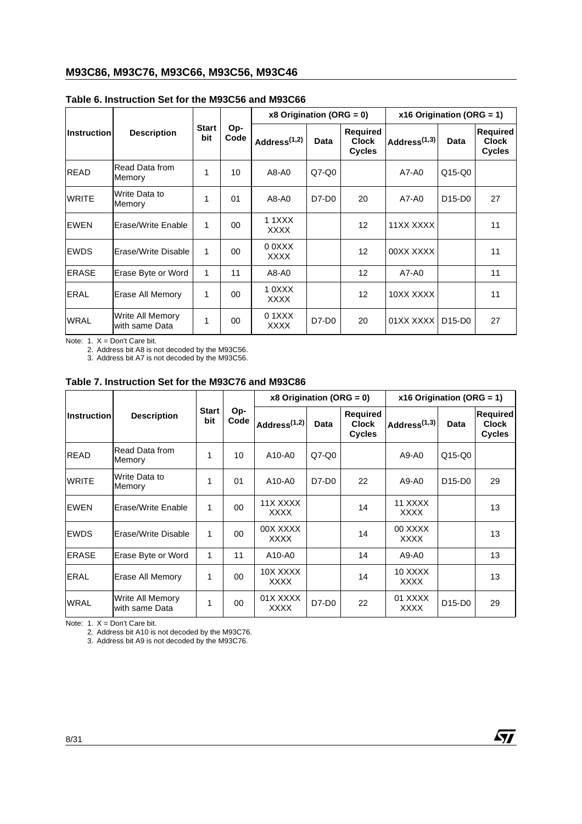|                    | <b>Description</b>                 | <b>Start</b><br>bit | Op-<br>Code | x8 Origination (ORG = $0$ ) |             |                                           | x16 Origination (ORG = 1) |                                 |                                           |
|--------------------|------------------------------------|---------------------|-------------|-----------------------------|-------------|-------------------------------------------|---------------------------|---------------------------------|-------------------------------------------|
| <b>Instruction</b> |                                    |                     |             | Address $(1,2)$             | <b>Data</b> | Required<br><b>Clock</b><br><b>Cycles</b> | Address <sup>(1,3)</sup>  | Data                            | Required<br><b>Clock</b><br><b>Cycles</b> |
| <b>READ</b>        | Read Data from<br>Memory           | 1                   | 10          | A8-A0                       | $Q7-Q0$     |                                           | A7-A0                     | $Q15-Q0$                        |                                           |
| <b>WRITE</b>       | Write Data to<br>Memory            | 1                   | 01          | A8-A0                       | D7-D0       | 20                                        | A7-A0                     | D <sub>15</sub> -D <sub>0</sub> | 27                                        |
| EWEN               | lErase/Write Enable                | 1                   | $00\,$      | 1 1 X X X<br><b>XXXX</b>    |             | 12                                        | 11XX XXXX                 |                                 | 11                                        |
| <b>EWDS</b>        | lErase/Write Disable               | 1                   | $00\,$      | 0 0XXX<br><b>XXXX</b>       |             | 12                                        | 00XX XXXX                 |                                 | 11                                        |
| <b>ERASE</b>       | Erase Byte or Word                 | 1                   | 11          | A8-A0                       |             | 12                                        | A7-A0                     |                                 | 11                                        |
| <b>ERAL</b>        | Erase All Memory                   | 1                   | $00\,$      | 10XXX<br><b>XXXX</b>        |             | 12                                        | 10XX XXXX                 |                                 | 11                                        |
| <b>WRAL</b>        | Write All Memory<br>with same Data | 1                   | 00          | $0.1$ XXX<br>XXXX           | D7-D0       | 20                                        | 01XX XXXXI                | D <sub>15</sub> -D <sub>0</sub> | 27                                        |

# <span id="page-8-0"></span>**Table 6. Instruction Set for the M93C56 and M93C66**

Note: 1. X = Don't Care bit.

2. Address bit A8 is not decoded by the M93C56.

3. Address bit A7 is not decoded by the M93C56.

### <span id="page-8-1"></span>**Table 7. Instruction Set for the M93C76 and M93C86**

|                    |                                    | <b>Start</b><br>bit | Op-<br>Code | x8 Origination (ORG = $0$ ) |         |                                           | x16 Origination (ORG = 1) |                                 |                                                  |
|--------------------|------------------------------------|---------------------|-------------|-----------------------------|---------|-------------------------------------------|---------------------------|---------------------------------|--------------------------------------------------|
| <b>Instruction</b> | <b>Description</b>                 |                     |             | Address $(1,2)$             | Data    | Required<br><b>Clock</b><br><b>Cycles</b> | Address $(1,3)$           | Data                            | <b>Required</b><br><b>Clock</b><br><b>Cycles</b> |
| READ               | lRead Data from<br>Memory          | 1                   | 10          | A10-A0                      | $Q7-Q0$ |                                           | A9-A0                     | $Q15-Q0$                        |                                                  |
| <b>WRITE</b>       | Write Data to<br>Memory            | 1                   | 01          | A10-A0                      | $D7-D0$ | 22                                        | A9-A0                     | D <sub>15</sub> -D <sub>0</sub> | 29                                               |
| EWEN               | Erase/Write Enable                 | 1                   | $00\,$      | 11X XXXX<br><b>XXXX</b>     |         | 14                                        | 11 XXXX<br><b>XXXX</b>    |                                 | 13                                               |
| <b>EWDS</b>        | lErase/Write Disable               | 1                   | $00\,$      | 00X XXXX<br><b>XXXX</b>     |         | 14                                        | 00 XXXX<br><b>XXXX</b>    |                                 | 13                                               |
| <b>ERASE</b>       | Erase Byte or Word                 | 1                   | 11          | A10-A0                      |         | 14                                        | A9-A0                     |                                 | 13                                               |
| <b>ERAL</b>        | Erase All Memory                   | 1                   | 00          | 10X XXXX<br><b>XXXX</b>     |         | 14                                        | 10 XXXX<br><b>XXXX</b>    |                                 | 13                                               |
| <b>WRAL</b>        | Write All Memory<br>with same Data | 1                   | 00          | 01X XXXX<br><b>XXXX</b>     | $D7-D0$ | 22                                        | 01 XXXX<br><b>XXXX</b>    | D <sub>15</sub> -D <sub>0</sub> | 29                                               |

Note: 1. X = Don't Care bit.

2. Address bit A10 is not decoded by the M93C76.

3. Address bit A9 is not decoded by the M93C76.

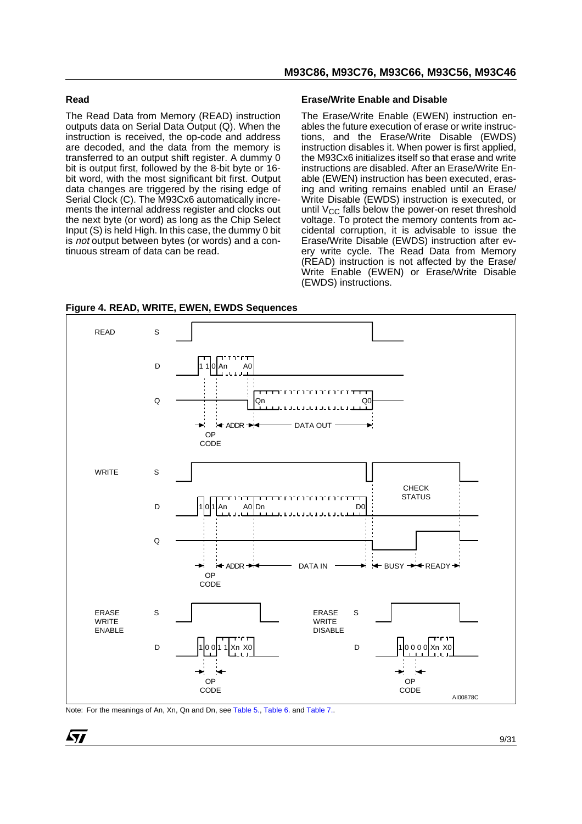### <span id="page-9-0"></span>**Read**

The Read Data from Memory (READ) instruction outputs data on Serial Data Output (Q). When the instruction is received, the op-code and address are decoded, and the data from the memory is transferred to an output shift register. A dummy 0 bit is output first, followed by the 8-bit byte or 16 bit word, with the most significant bit first. Output data changes are triggered by the rising edge of Serial Clock (C). The M93Cx6 automatically increments the internal address register and clocks out the next byte (or word) as long as the Chip Select Input (S) is held High. In this case, the dummy 0 bit is not output between bytes (or words) and a continuous stream of data can be read.

### <span id="page-9-1"></span>**Erase/Write Enable and Disable**

The Erase/Write Enable (EWEN) instruction enables the future execution of erase or write instructions, and the Erase/Write Disable (EWDS) instruction disables it. When power is first applied, the M93Cx6 initializes itself so that erase and write instructions are disabled. After an Erase/Write Enable (EWEN) instruction has been executed, erasing and writing remains enabled until an Erase/ Write Disable (EWDS) instruction is executed, or until  $V_{CC}$  falls below the power-on reset threshold voltage. To protect the memory contents from accidental corruption, it is advisable to issue the Erase/Write Disable (EWDS) instruction after every write cycle. The Read Data from Memory (READ) instruction is not affected by the Erase/ Write Enable (EWEN) or Erase/Write Disable (EWDS) instructions.



<span id="page-9-2"></span>**Figure 4. READ, WRITE, EWEN, EWDS Sequences**

Note: For the meanings of An, Xn, Qn and Dn, see [Table 5.,](#page-7-1) [Table 6.](#page-8-0) and [Table 7..](#page-8-1)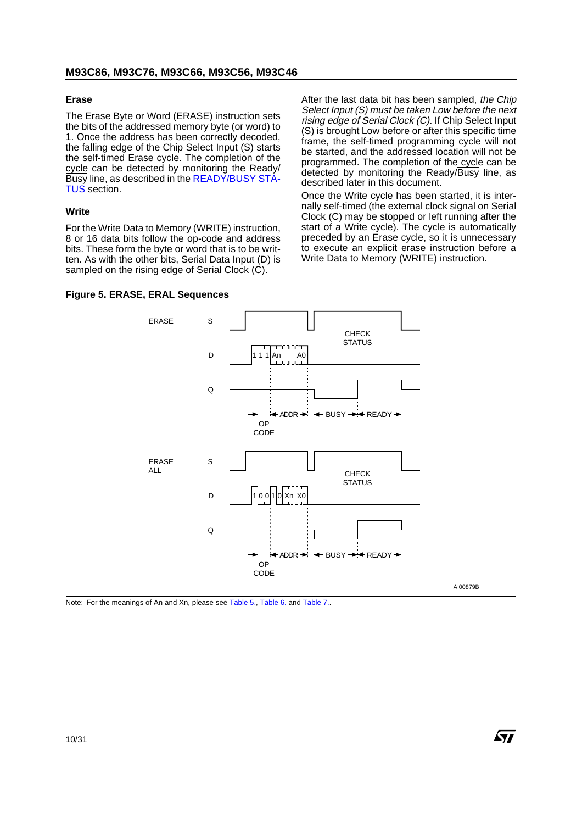### <span id="page-10-0"></span>**Erase**

The Erase Byte or Word (ERASE) instruction sets the bits of the addressed memory byte (or word) to 1. Once the address has been correctly decoded, the falling edge of the Chip Select Input (S) starts the self-timed Erase cycle. The completion of the cycle can be detected by monitoring the Ready/ Busy line, as described in the [READY/BUSY STA-](#page-12-0)[TUS](#page-12-0) section.

### <span id="page-10-1"></span>**Write**

For the Write Data to Memory (WRITE) instruction, 8 or 16 data bits follow the op-code and address bits. These form the byte or word that is to be written. As with the other bits, Serial Data Input (D) is sampled on the rising edge of Serial Clock (C).

After the last data bit has been sampled, the Chip Select Input (S) must be taken Low before the next rising edge of Serial Clock (C). If Chip Select Input (S) is brought Low before or after this specific time frame, the self-timed programming cycle will not be started, and the addressed location will not be programmed. The completion of the cycle can be detected by monitoring the Ready/Busy line, as described later in this document.

Once the Write cycle has been started, it is internally self-timed (the external clock signal on Serial Clock (C) may be stopped or left running after the start of a Write cycle). The cycle is automatically preceded by an Erase cycle, so it is unnecessary to execute an explicit erase instruction before a Write Data to Memory (WRITE) instruction.

AV J



Note: For the meanings of An and Xn, please see [Table 5.,](#page-7-1) [Table 6.](#page-8-0) and [Table 7..](#page-8-1)

### <span id="page-10-2"></span>**Figure 5. ERASE, ERAL Sequences**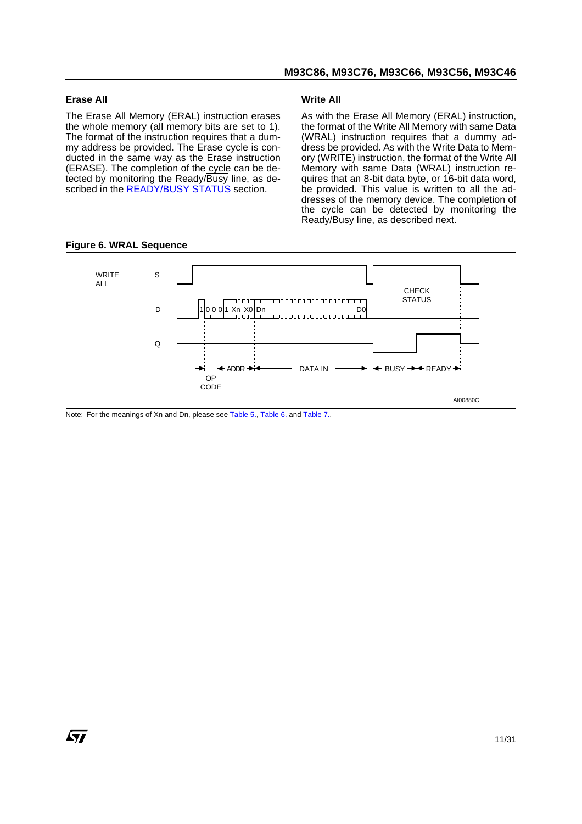#### <span id="page-11-0"></span>**Erase All**

97

The Erase All Memory (ERAL) instruction erases the whole memory (all memory bits are set to 1). The format of the instruction requires that a dummy address be provided. The Erase cycle is conducted in the same way as the Erase instruction (ERASE). The completion of the cycle can be detected by monitoring the Ready/Busy line, as de-scribed in the [READY/BUSY STATUS](#page-12-0) section.

#### <span id="page-11-1"></span>**Write All**

As with the Erase All Memory (ERAL) instruction, the format of the Write All Memory with same Data (WRAL) instruction requires that a dummy address be provided. As with the Write Data to Memory (WRITE) instruction, the format of the Write All Memory with same Data (WRAL) instruction requires that an 8-bit data byte, or 16-bit data word, be provided. This value is written to all the addresses of the memory device. The completion of the cycle can be detected by monitoring the Ready/Busy line, as described next.



#### <span id="page-11-2"></span>**Figure 6. WRAL Sequence**

Note: For the meanings of Xn and Dn, please see [Table 5.](#page-7-1), [Table 6.](#page-8-0) and [Table 7.](#page-8-1).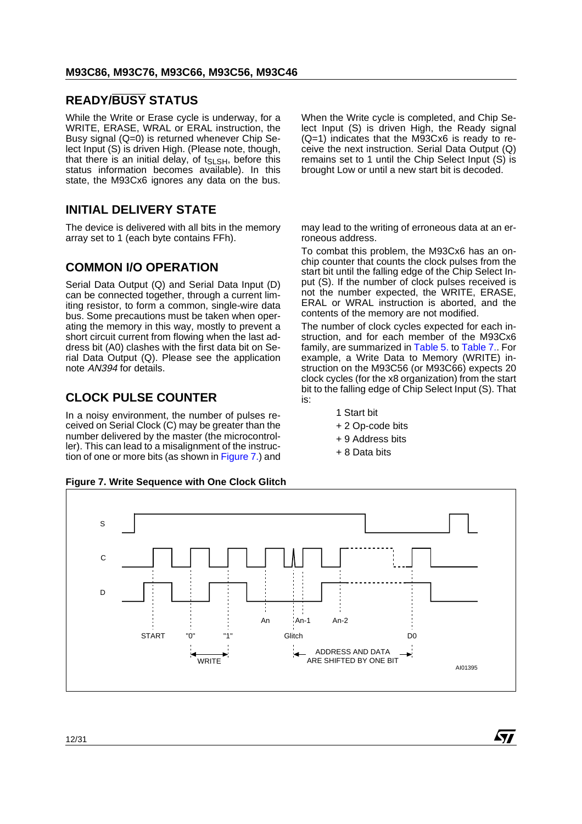# <span id="page-12-0"></span>**READY/BUSY STATUS**

While the Write or Erase cycle is underway, for a WRITE, ERASE, WRAL or ERAL instruction, the Busy signal (Q=0) is returned whenever Chip Select Input (S) is driven High. (Please note, though, that there is an initial delay, of  $t_{SLSH}$ , before this status information becomes available). In this state, the M93Cx6 ignores any data on the bus.

# <span id="page-12-1"></span>**INITIAL DELIVERY STATE**

The device is delivered with all bits in the memory array set to 1 (each byte contains FFh).

# <span id="page-12-2"></span>**COMMON I/O OPERATION**

Serial Data Output (Q) and Serial Data Input (D) can be connected together, through a current limiting resistor, to form a common, single-wire data bus. Some precautions must be taken when operating the memory in this way, mostly to prevent a short circuit current from flowing when the last address bit (A0) clashes with the first data bit on Serial Data Output (Q). Please see the application note AN394 for details.

# <span id="page-12-3"></span>**CLOCK PULSE COUNTER**

In a noisy environment, the number of pulses received on Serial Clock (C) may be greater than the number delivered by the master (the microcontroller). This can lead to a misalignment of the instruction of one or more bits (as shown in [Figure 7.\)](#page-12-4) and

#### <span id="page-12-4"></span>**Figure 7. Write Sequence with One Clock Glitch**

When the Write cycle is completed, and Chip Select Input (S) is driven High, the Ready signal (Q=1) indicates that the M93Cx6 is ready to receive the next instruction. Serial Data Output (Q) remains set to 1 until the Chip Select Input (S) is brought Low or until a new start bit is decoded.

may lead to the writing of erroneous data at an erroneous address.

To combat this problem, the M93Cx6 has an onchip counter that counts the clock pulses from the start bit until the falling edge of the Chip Select Input (S). If the number of clock pulses received is not the number expected, the WRITE, ERASE, ERAL or WRAL instruction is aborted, and the contents of the memory are not modified.

The number of clock cycles expected for each instruction, and for each member of the M93Cx6 family, are summarized in [Table 5.](#page-7-1) to [Table 7..](#page-8-1) For example, a Write Data to Memory (WRITE) instruction on the M93C56 (or M93C66) expects 20 clock cycles (for the x8 organization) from the start bit to the falling edge of Chip Select Input (S). That is:

477

- 1 Start bit
- + 2 Op-code bits
- + 9 Address bits
- + 8 Data bits

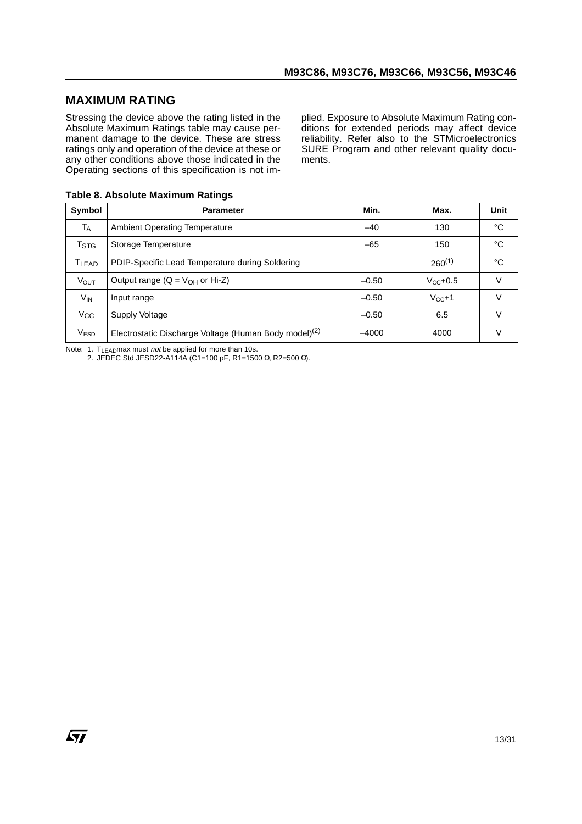# <span id="page-13-0"></span>**MAXIMUM RATING**

Stressing the device above the rating listed in the Absolute Maximum Ratings table may cause permanent damage to the device. These are stress ratings only and operation of the device at these or any other conditions above those indicated in the Operating sections of this specification is not implied. Exposure to Absolute Maximum Rating conditions for extended periods may affect device reliability. Refer also to the STMicroelectronics SURE Program and other relevant quality documents.

<span id="page-13-1"></span>

|  |  |  | Table 8. Absolute Maximum Ratings |  |
|--|--|--|-----------------------------------|--|
|--|--|--|-----------------------------------|--|

| Symbol                  | <b>Parameter</b>                                                  | Min.    | Max.          | <b>Unit</b> |
|-------------------------|-------------------------------------------------------------------|---------|---------------|-------------|
| T <sub>A</sub>          | <b>Ambient Operating Temperature</b>                              | $-40$   | 130           | °C          |
| <b>T</b> <sub>STG</sub> | Storage Temperature                                               | $-65$   | 150           | °C          |
| <b>TLEAD</b>            | PDIP-Specific Lead Temperature during Soldering                   |         | $260^{(1)}$   | °C          |
| <b>VOUT</b>             | Output range ( $Q = V_{OH}$ or Hi-Z)                              | $-0.50$ | $V_{CC}$ +0.5 | $\vee$      |
| $V_{IN}$                | Input range                                                       | $-0.50$ | $V_{CC}+1$    | V           |
| $V_{\rm CC}$            | Supply Voltage                                                    | $-0.50$ | 6.5           | $\vee$      |
| V <sub>ESD</sub>        | Electrostatic Discharge Voltage (Human Body model) <sup>(2)</sup> | $-4000$ | 4000          | v           |

Note: 1. T<sub>LEAD</sub>max must not be applied for more than 10s.

2. JEDEC Std JESD22-A114A (C1=100 pF, R1=1500 Ω, R2=500 Ω).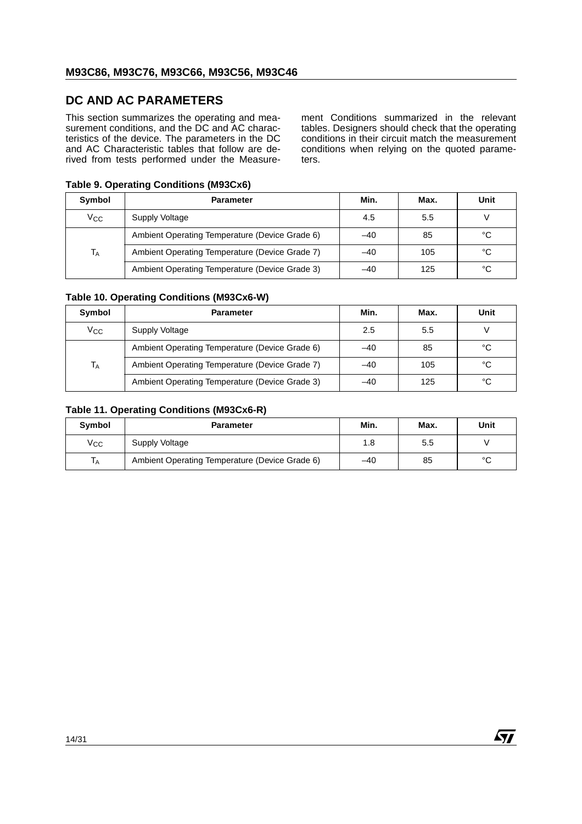# <span id="page-14-0"></span>**DC AND AC PARAMETERS**

This section summarizes the operating and measurement conditions, and the DC and AC characteristics of the device. The parameters in the DC and AC Characteristic tables that follow are derived from tests performed under the Measure-

<span id="page-14-1"></span>**Table 9. Operating Conditions (M93Cx6)**

ment Conditions summarized in the relevant tables. Designers should check that the operating conditions in their circuit match the measurement conditions when relying on the quoted parameters.

 $\sqrt{M}$ 

| Symbol       | <b>Parameter</b>                               | Min.  | Max. | Unit |  |  |  |  |  |
|--------------|------------------------------------------------|-------|------|------|--|--|--|--|--|
| $V_{\rm CC}$ | Supply Voltage                                 | 4.5   | 5.5  |      |  |  |  |  |  |
| $T_A$        | Ambient Operating Temperature (Device Grade 6) | $-40$ | 85   | °C   |  |  |  |  |  |
|              | Ambient Operating Temperature (Device Grade 7) | $-40$ | 105  | °C   |  |  |  |  |  |
|              | Ambient Operating Temperature (Device Grade 3) | $-40$ | 125  | °C   |  |  |  |  |  |

### <span id="page-14-2"></span>**Table 10. Operating Conditions (M93Cx6-W)**

| Symbol       | <b>Parameter</b>                               | Min.  | Max. | Unit |
|--------------|------------------------------------------------|-------|------|------|
| $V_{\rm CC}$ | Supply Voltage                                 | 2.5   | 5.5  |      |
|              | Ambient Operating Temperature (Device Grade 6) | $-40$ | 85   | °C   |
| $T_A$        | Ambient Operating Temperature (Device Grade 7) | $-40$ | 105  | °C   |
|              | Ambient Operating Temperature (Device Grade 3) | $-40$ | 125  | °C   |

#### <span id="page-14-3"></span>**Table 11. Operating Conditions (M93Cx6-R)**

| Symbol | <b>Parameter</b>                               | Min. | Max. | Unit   |
|--------|------------------------------------------------|------|------|--------|
| Vcc    | Supply Voltage                                 | 1.8  | 5.5  |        |
| 1A     | Ambient Operating Temperature (Device Grade 6) | -40  | 85   | $\sim$ |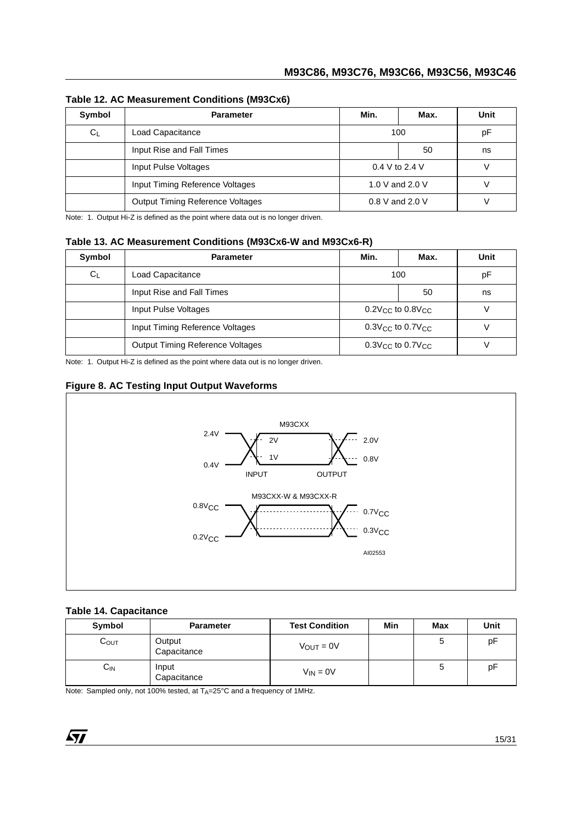| Symbol  | <b>Parameter</b>                        | Min.              | Max. | Unit |
|---------|-----------------------------------------|-------------------|------|------|
| $C_{L}$ | Load Capacitance                        | 100               |      | рF   |
|         | Input Rise and Fall Times               |                   | 50   | ns   |
|         | Input Pulse Voltages                    | $0.4 V$ to 2.4 V  |      |      |
|         | Input Timing Reference Voltages         | 1.0 V and 2.0 V   |      |      |
|         | <b>Output Timing Reference Voltages</b> | $0.8$ V and 2.0 V |      |      |

### <span id="page-15-0"></span>**Table 12. AC Measurement Conditions (M93Cx6)**

Note: 1. Output Hi-Z is defined as the point where data out is no longer driven.

### <span id="page-15-1"></span>**Table 13. AC Measurement Conditions (M93Cx6-W and M93Cx6-R)**

| Symbol | <b>Parameter</b>                        | Min.                               | Max. | Unit |
|--------|-----------------------------------------|------------------------------------|------|------|
| $C_L$  | Load Capacitance                        | 100                                |      | pF   |
|        | Input Rise and Fall Times               |                                    | 50   | ns   |
|        | Input Pulse Voltages                    | $0.2V_{\rm CC}$ to $0.8V_{\rm CC}$ |      |      |
|        | Input Timing Reference Voltages         | $0.3$ Vcc to $0.7$ Vcc             |      |      |
|        | <b>Output Timing Reference Voltages</b> | $0.3V_{\rm CC}$ to $0.7V_{\rm CC}$ |      |      |

Note: 1. Output Hi-Z is defined as the point where data out is no longer driven.

# <span id="page-15-2"></span>**Figure 8. AC Testing Input Output Waveforms**



### <span id="page-15-3"></span>**Table 14. Capacitance**

| Symbol             | <b>Parameter</b>      | <b>Test Condition</b> | Min | Max | Unit |
|--------------------|-----------------------|-----------------------|-----|-----|------|
| $\mathtt{C_{OUT}}$ | Output<br>Capacitance | $V_{\text{OUT}} = 0V$ |     | 5   | рF   |
| $C_{IN}$           | Input<br>Capacitance  | $V_{IN} = 0V$         |     | э   | pF   |

Note: Sampled only, not 100% tested, at TA=25°C and a frequency of 1MHz.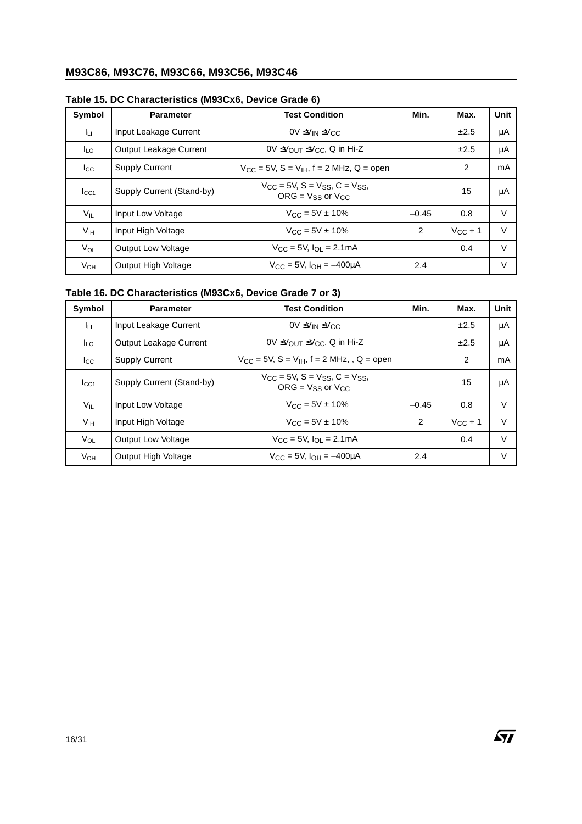# **M93C86, M93C76, M93C66, M93C56, M93C46**

| Symbol          | <b>Parameter</b>          | <b>Test Condition</b>                                                | Min.    | Max.         | <b>Unit</b> |
|-----------------|---------------------------|----------------------------------------------------------------------|---------|--------------|-------------|
| Jц              | Input Leakage Current     | $0V \leq V_{IN} \leq V_{CC}$                                         |         | ±2.5         | μA          |
| <b>I</b> LO     | Output Leakage Current    | $0 \vee \angle$ OU $\tau \leq V_{CC}$ , Q in Hi-Z                    |         | ±2.5         | μA          |
| $_{\rm lcc}$    | <b>Supply Current</b>     | $V_{CC}$ = 5V, S = V <sub>IH</sub> , f = 2 MHz, Q = open             |         | 2            | mA          |
| $I_{\rm CC1}$   | Supply Current (Stand-by) | $V_{CC}$ = 5V, S = $V_{SS}$ , C = $V_{SS}$ ,<br>$ORG = Vss$ or $Vcc$ |         | 15           | μA          |
| $V_{IL}$        | Input Low Voltage         | $V_{\rm CC} = 5V \pm 10\%$                                           | $-0.45$ | 0.8          | $\vee$      |
| V <sub>IH</sub> | Input High Voltage        | $V_{\rm CC} = 5V \pm 10\%$                                           | 2       | $V_{CC} + 1$ | $\vee$      |
| $V_{OL}$        | <b>Output Low Voltage</b> | $V_{\text{CC}} = 5V$ , $I_{\text{O}} = 2.1 \text{mA}$                |         | 0.4          | V           |
| $V_{OH}$        | Output High Voltage       | $V_{CC} = 5V$ , $I_{OH} = -400 \mu A$                                | 2.4     |              | V           |

# <span id="page-16-0"></span>**Table 15. DC Characteristics (M93Cx6, Device Grade 6)**

# <span id="page-16-1"></span>**Table 16. DC Characteristics (M93Cx6, Device Grade 7 or 3)**

| Symbol          | <b>Parameter</b>          | <b>Test Condition</b>                                                                    | Min.    | Max.             | Unit   |
|-----------------|---------------------------|------------------------------------------------------------------------------------------|---------|------------------|--------|
| ĪЦ              | Input Leakage Current     | $0V \leq V_{IN} \leq V_{CC}$                                                             |         | ±2.5             | μA     |
| <b>ILO</b>      | Output Leakage Current    | $0 \vee \angle$ OU $\tau \leq V_{CC}$ , Q in Hi-Z                                        |         | ±2.5             | μA     |
| $_{\rm lcc}$    | <b>Supply Current</b>     | $V_{CC}$ = 5V, S = V <sub>IH</sub> , f = 2 MHz, , Q = open                               |         | 2                | mA     |
| $I_{\rm CC1}$   | Supply Current (Stand-by) | $V_{CC}$ = 5V, S = V <sub>SS</sub> , C = V <sub>SS</sub> ,<br>$ORG = V_{SS}$ or $V_{CC}$ |         | 15               | μA     |
| $V_{IL}$        | Input Low Voltage         | $V_{\rm CC} = 5V \pm 10\%$                                                               | $-0.45$ | 0.8              | V      |
| V <sub>IH</sub> | Input High Voltage        | $V_{\text{CC}} = 5V \pm 10\%$                                                            | 2       | $V_{\rm CC}$ + 1 | $\vee$ |
| $V_{OL}$        | <b>Output Low Voltage</b> | $V_{CC} = 5V$ , $I_{OL} = 2.1mA$                                                         |         | 0.4              | $\vee$ |
| V <sub>OH</sub> | Output High Voltage       | $V_{\rm CC} = 5V$ , $I_{\rm OH} = -400 \mu A$                                            | 2.4     |                  | $\vee$ |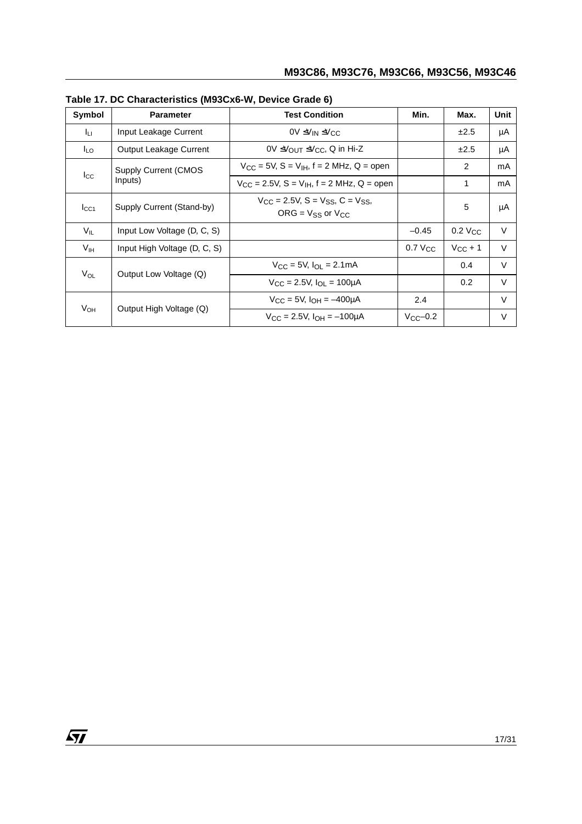| Symbol          | <b>Parameter</b>             | <b>Test Condition</b>                                                        | Min.              | Max.         | Unit   |
|-----------------|------------------------------|------------------------------------------------------------------------------|-------------------|--------------|--------|
| Iц.             | Input Leakage Current        | $0V \leq V_{IN} \leq V_{CC}$                                                 |                   | ±2.5         | μA     |
| I <sub>LO</sub> | Output Leakage Current       | 0V ≤ V <sub>OUT</sub> ≤ V <sub>CC</sub> , Q in Hi-Z                          |                   | ±2.5         | μA     |
|                 | <b>Supply Current (CMOS</b>  | $V_{CC}$ = 5V, S = V <sub>IH</sub> , f = 2 MHz, Q = open                     |                   | 2            | mA     |
| $_{\rm lcc}$    | Inputs)                      | $V_{CC} = 2.5V$ , S = $V_{IH}$ , f = 2 MHz, Q = open                         |                   | 1            | mA     |
| $I_{\rm CC1}$   | Supply Current (Stand-by)    | $V_{CC}$ = 2.5V, S = $V_{SS}$ , C = $V_{SS}$ ,<br>$ORG = V_{SS}$ or $V_{CC}$ |                   | 5            | μA     |
| V <sub>IL</sub> | Input Low Voltage (D, C, S)  |                                                                              | $-0.45$           | 0.2 Vcc      | $\vee$ |
| V <sub>IH</sub> | Input High Voltage (D, C, S) |                                                                              | $0.7$ $V_{CC}$    | $V_{CC}$ + 1 | $\vee$ |
|                 |                              | $V_{\rm CC}$ = 5V, $I_{\rm OL}$ = 2.1mA                                      |                   | 0.4          | $\vee$ |
| $V_{OL}$        | Output Low Voltage (Q)       | $V_{CC} = 2.5V$ , $I_{OL} = 100\mu A$                                        |                   | 0.2          | $\vee$ |
|                 |                              | $V_{\rm CC}$ = 5V, $I_{\rm OH}$ = $-400 \mu A$                               | 2.4               |              | V      |
| V <sub>OH</sub> | Output High Voltage (Q)      | $V_{\text{CC}} = 2.5V$ , $I_{\text{OH}} = -100 \mu A$                        | $V_{\rm CC}$ -0.2 |              | V      |

<span id="page-17-0"></span>**Table 17. DC Characteristics (M93Cx6-W, Device Grade 6)**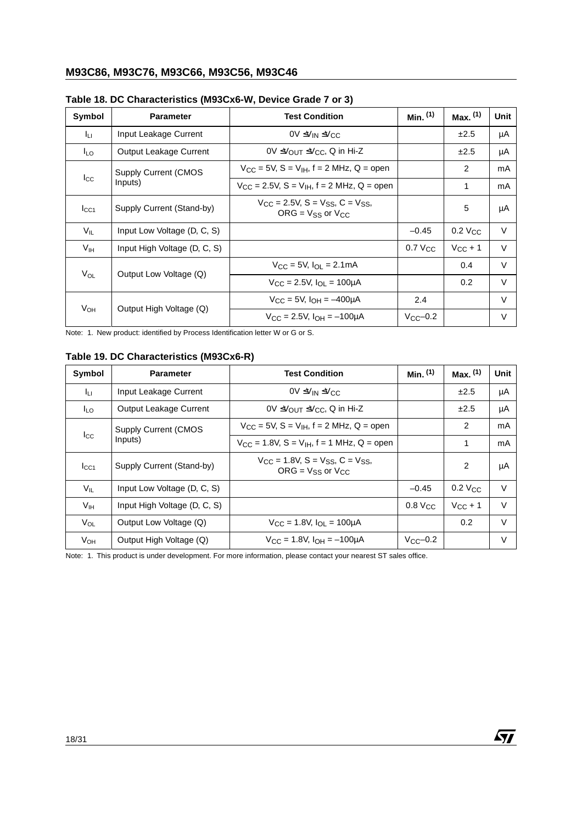| Symbol          | <b>Parameter</b>              | <b>Test Condition</b>                                                                      | Min. $(1)$        | Max. (1)              | Unit   |
|-----------------|-------------------------------|--------------------------------------------------------------------------------------------|-------------------|-----------------------|--------|
| Iц              | Input Leakage Current         | $0V ≤V$ IN ≤ $V$ CC                                                                        |                   | ±2.5                  | μA     |
| I∟o             | <b>Output Leakage Current</b> | $0V \leq V_{\text{OUT}} \leq V_{\text{CC}}$ , Q in Hi-Z                                    |                   | ±2.5                  | μA     |
|                 | <b>Supply Current (CMOS</b>   | $V_{CC}$ = 5V, S = V <sub>IH</sub> , f = 2 MHz, Q = open                                   |                   | 2                     | mA     |
| $I_{\rm CC}$    | Inputs)                       | $V_{\rm CC}$ = 2.5V, S = V <sub>IH</sub> , f = 2 MHz, Q = open                             |                   | 1                     | mA     |
| $I_{\rm CC1}$   | Supply Current (Stand-by)     | $V_{CC}$ = 2.5V, S = V <sub>SS</sub> , C = V <sub>SS</sub> ,<br>$ORG = V_{SS}$ or $V_{CC}$ |                   | 5                     | μA     |
| $V_{IL}$        | Input Low Voltage (D, C, S)   |                                                                                            | $-0.45$           | $0.2$ V <sub>CC</sub> | $\vee$ |
| V <sub>IH</sub> | Input High Voltage (D, C, S)  |                                                                                            | $0.7$ $V_{CC}$    | $V_{CC}$ + 1          | $\vee$ |
| $V_{OL}$        |                               | $V_{C}$ = 5V. $I_{O} = 2.1 \text{mA}$                                                      |                   | 0.4                   | $\vee$ |
|                 | Output Low Voltage (Q)        | $V_{\rm CC} = 2.5V$ , $I_{\rm O1} = 100 \mu A$                                             |                   | 0.2                   | $\vee$ |
|                 |                               | $V_{\rm CC}$ = 5V, $I_{\rm OH}$ = $-400 \mu A$                                             | 2.4               |                       | V      |
| V <sub>OH</sub> | Output High Voltage (Q)       | $V_{\text{CC}} = 2.5V$ , $I_{\text{OH}} = -100 \mu A$                                      | $V_{\rm CC}$ -0.2 |                       | V      |

### <span id="page-18-0"></span>**Table 18. DC Characteristics (M93Cx6-W, Device Grade 7 or 3)**

Note: 1. New product: identified by Process Identification letter W or G or S.

<span id="page-18-1"></span>**Table 19. DC Characteristics (M93Cx6-R)**

| Symbol          | <b>Parameter</b>              | <b>Test Condition</b>                                              | Min. <sup>(1)</sup> | Max. (1)       | Unit   |
|-----------------|-------------------------------|--------------------------------------------------------------------|---------------------|----------------|--------|
| Īц              | Input Leakage Current         | $0V \leq V_{IN} \leq V_{CC}$                                       |                     | ±2.5           | μA     |
| I <sub>LO</sub> | <b>Output Leakage Current</b> | $0V \leq V_{\text{OUT}} \leq V_{\text{CC}}$ , Q in Hi-Z            |                     |                | μA     |
| $_{\rm lcc}$    | <b>Supply Current (CMOS)</b>  | $V_{CC}$ = 5V, S = V <sub>IH</sub> , f = 2 MHz, Q = open           |                     | 2              | mA     |
|                 | Inputs)                       | $V_{\text{CC}} = 1.8V$ , S = $V_{\text{IH}}$ , f = 1 MHz, Q = open |                     | 1              | mA     |
| $_{\text{LCA}}$ | Supply Current (Stand-by)     | $V_{CC}$ = 1.8V, S = Vss, C = Vss,<br>$ORG = V_{SS}$ or $V_{CC}$   |                     | $\overline{2}$ | μA     |
| $V_{IL}$        | Input Low Voltage (D, C, S)   |                                                                    | $-0.45$             | $0.2$ $V_{CC}$ | $\vee$ |
| V <sub>IH</sub> | Input High Voltage (D, C, S)  |                                                                    | $0.8$ $V_{CC}$      | $V_{CC}$ + 1   | $\vee$ |
| $V_{OL}$        | Output Low Voltage (Q)        | $V_{CC} = 1.8V$ , $I_{OL} = 100\mu A$                              |                     | 0.2            | $\vee$ |
| V <sub>OН</sub> | Output High Voltage (Q)       | $V_{\rm CC} = 1.8V$ , $I_{\rm OH} = -100 \mu A$                    | $V_{\rm CC}$ -0.2   |                | V      |

 $\sqrt{M}$ 

Note: 1. This product is under development. For more information, please contact your nearest ST sales office.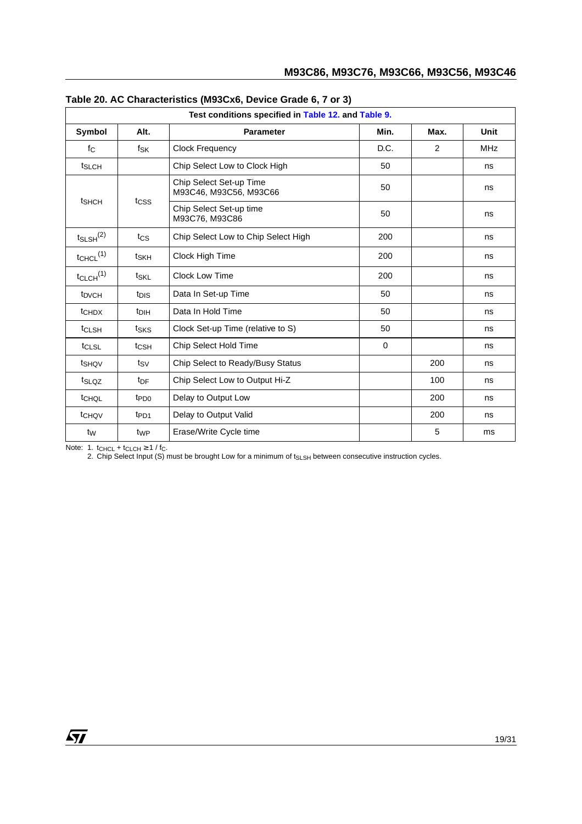|                           | Test conditions specified in Table 12. and Table 9. |                                                   |             |      |             |  |  |
|---------------------------|-----------------------------------------------------|---------------------------------------------------|-------------|------|-------------|--|--|
| Symbol                    | Alt.<br><b>Parameter</b>                            |                                                   | Min.        | Max. | <b>Unit</b> |  |  |
| $f_{\rm C}$               | $f_{SK}$                                            | <b>Clock Frequency</b>                            | D.C.        | 2    | <b>MHz</b>  |  |  |
| t <sub>SLCH</sub>         |                                                     | Chip Select Low to Clock High                     | 50          |      | ns          |  |  |
|                           |                                                     | Chip Select Set-up Time<br>M93C46, M93C56, M93C66 | 50          |      | ns          |  |  |
| t <sub>SHCH</sub>         | t <sub>CSS</sub>                                    | Chip Select Set-up time<br>M93C76, M93C86         | 50          |      | ns          |  |  |
| $t_{SLSH}$ <sup>(2)</sup> | tcs                                                 | Chip Select Low to Chip Select High               | 200         |      | ns          |  |  |
| $t$ CHCL $(1)$            | tskh                                                | Clock High Time                                   | 200         |      | ns          |  |  |
| $t_{CLCH}$ <sup>(1)</sup> | t <sub>SKL</sub>                                    | <b>Clock Low Time</b>                             | 200         |      | ns          |  |  |
| t <sub>DVCH</sub>         | t <sub>DIS</sub>                                    | Data In Set-up Time                               | 50          |      | ns          |  |  |
| t <sub>CHDX</sub>         | t <sub>DIH</sub>                                    | Data In Hold Time                                 | 50          |      | ns          |  |  |
| t <sub>CLSH</sub>         | tsks                                                | Clock Set-up Time (relative to S)                 | 50          |      | ns          |  |  |
| tCLSL                     | t <sub>CSH</sub>                                    | Chip Select Hold Time                             | $\mathbf 0$ |      | ns          |  |  |
| tshov                     | tsv                                                 | Chip Select to Ready/Busy Status                  |             | 200  | ns          |  |  |
| tslQZ                     | t <sub>DF</sub>                                     | Chip Select Low to Output Hi-Z                    |             | 100  | ns          |  |  |
| tCHQL                     | t <sub>PD0</sub>                                    | Delay to Output Low                               |             | 200  | ns          |  |  |
| t <sub>CHQV</sub>         | t <sub>PD1</sub>                                    | Delay to Output Valid                             |             | 200  | ns          |  |  |
| $t_{\text{W}}$            | t <sub>WP</sub>                                     | Erase/Write Cycle time                            |             | 5    | ms          |  |  |

<span id="page-19-0"></span>

| Table 20. AC Characteristics (M93Cx6, Device Grade 6, 7 or 3) |  |  |  |
|---------------------------------------------------------------|--|--|--|
|---------------------------------------------------------------|--|--|--|

Note: 1.  $t_{CHCL} + t_{CLCH} \geq 1 / f_C$ .

2. Chip Select Input (S) must be brought Low for a minimum of t<sub>SLSH</sub> between consecutive instruction cycles.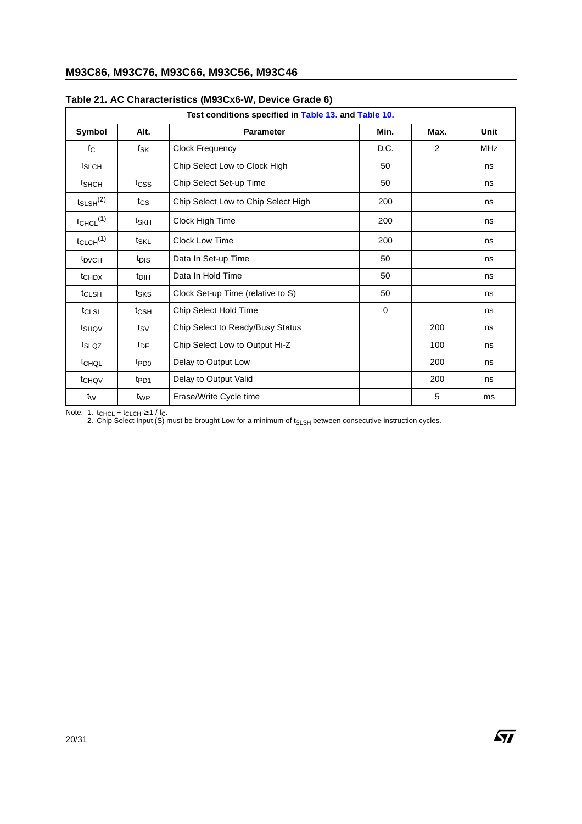|                           | Test conditions specified in Table 13. and Table 10. |                                     |          |      |            |  |  |  |
|---------------------------|------------------------------------------------------|-------------------------------------|----------|------|------------|--|--|--|
| Symbol                    | Alt.                                                 | <b>Parameter</b>                    | Min.     | Max. | Unit       |  |  |  |
| fc                        | fsk                                                  | <b>Clock Frequency</b>              | D.C.     | 2    | <b>MHz</b> |  |  |  |
| t <sub>SLCH</sub>         |                                                      | Chip Select Low to Clock High       | 50       |      | ns         |  |  |  |
| t <sub>SHCH</sub>         | tcss                                                 | Chip Select Set-up Time             | 50       |      | ns         |  |  |  |
| $t_{SLSH}$ <sup>(2)</sup> | tcs                                                  | Chip Select Low to Chip Select High | 200      |      | ns         |  |  |  |
| $t_{CHCL}$ <sup>(1)</sup> | t <sub>SKH</sub>                                     | Clock High Time                     | 200      |      | ns         |  |  |  |
| $t_{CLCH}$ <sup>(1)</sup> | tskL                                                 | <b>Clock Low Time</b>               | 200      |      | ns         |  |  |  |
| t <sub>DVCH</sub>         | t <sub>DIS</sub>                                     | Data In Set-up Time                 | 50       |      | ns         |  |  |  |
| t <sub>CHDX</sub>         | t <sub>DIH</sub>                                     | Data In Hold Time                   | 50       |      | ns         |  |  |  |
| t <sub>CLSH</sub>         | tsks                                                 | Clock Set-up Time (relative to S)   | 50       |      | ns         |  |  |  |
| $t_{CLSL}$                | t <sub>CSH</sub>                                     | Chip Select Hold Time               | $\Omega$ |      | ns         |  |  |  |
| t <sub>SHQV</sub>         | $t_{\mathsf{SV}}$                                    | Chip Select to Ready/Busy Status    |          | 200  | ns         |  |  |  |
| t <sub>SLQZ</sub>         | t <sub>DF</sub>                                      | Chip Select Low to Output Hi-Z      |          | 100  | ns         |  |  |  |
| t <sub>CHQL</sub>         | t <sub>PD0</sub>                                     | Delay to Output Low                 |          | 200  | ns         |  |  |  |
| t <sub>CHQV</sub>         | t <sub>PD1</sub>                                     | Delay to Output Valid               |          | 200  | ns         |  |  |  |
| t <sub>W</sub>            | t <sub>WP</sub>                                      | Erase/Write Cycle time              |          | 5    | ms         |  |  |  |

### <span id="page-20-0"></span>**Table 21. AC Characteristics (M93Cx6-W, Device Grade 6)**

Note: 1.  $t_{CHCL} + t_{CLCH} \ge 1$  /  $t_{C}$ .

2. Chip Select Input (S) must be brought Low for a minimum of t<sub>SLSH</sub> between consecutive instruction cycles.

 $\sqrt{1}$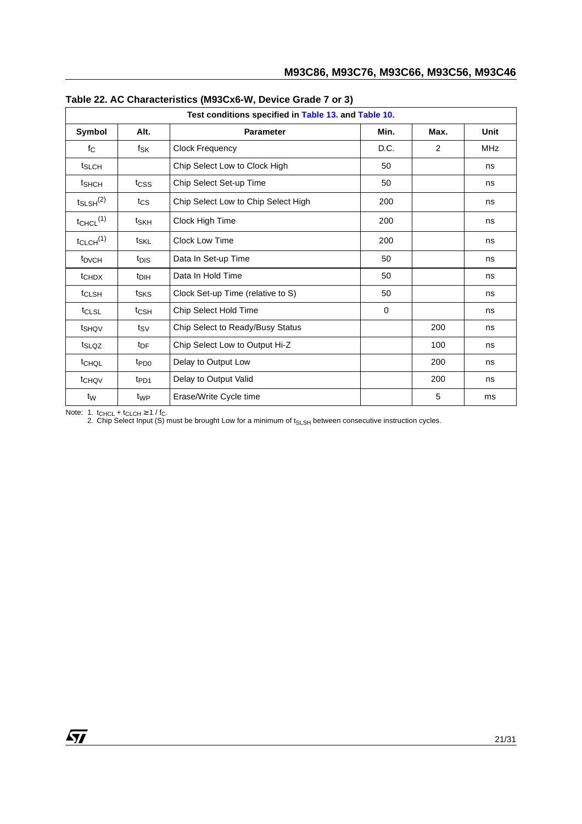|                           | Test conditions specified in Table 13. and Table 10. |                                     |          |      |            |  |  |
|---------------------------|------------------------------------------------------|-------------------------------------|----------|------|------------|--|--|
| Symbol                    | Alt.                                                 | <b>Parameter</b>                    | Min.     | Max. | Unit       |  |  |
| fc                        | fsk                                                  | Clock Frequency                     | D.C.     | 2    | <b>MHz</b> |  |  |
| t <sub>SLCH</sub>         |                                                      | Chip Select Low to Clock High       | 50       |      | ns         |  |  |
| t <sub>SHCH</sub>         | tcss                                                 | Chip Select Set-up Time             | 50       |      | ns         |  |  |
| $t_{SLSH}$ <sup>(2)</sup> | tcs                                                  | Chip Select Low to Chip Select High | 200      |      | ns         |  |  |
| $t_{CHCL}$ <sup>(1)</sup> | t <sub>SKH</sub>                                     | Clock High Time                     | 200      |      | ns         |  |  |
| $t_{CLCH}$ <sup>(1)</sup> | tskl                                                 | Clock Low Time                      | 200      |      | ns         |  |  |
| t <sub>DVCH</sub>         | t <sub>DIS</sub>                                     | Data In Set-up Time                 | 50       |      | ns         |  |  |
| t <sub>CHDX</sub>         | t <sub>DIH</sub>                                     | Data In Hold Time                   | 50       |      | ns         |  |  |
| t <sub>CLSH</sub>         | tsks                                                 | Clock Set-up Time (relative to S)   | 50       |      | ns         |  |  |
| t <sub>CLSL</sub>         | $t_{\text{CSH}}$                                     | Chip Select Hold Time               | $\Omega$ |      | ns         |  |  |
| t <sub>SHQV</sub>         | tsv                                                  | Chip Select to Ready/Busy Status    |          | 200  | ns         |  |  |
| t <sub>SLQZ</sub>         | t <sub>DF</sub>                                      | Chip Select Low to Output Hi-Z      |          | 100  | ns         |  |  |
| t <sub>CHQL</sub>         | t <sub>PD0</sub>                                     | Delay to Output Low                 |          | 200  | ns         |  |  |
| t <sub>CHQV</sub>         | t <sub>PD1</sub>                                     | Delay to Output Valid               |          | 200  | ns         |  |  |
| t <sub>W</sub>            | t <sub>WP</sub>                                      | Erase/Write Cycle time              |          | 5    | ms         |  |  |

<span id="page-21-0"></span>

| Table 22. AC Characteristics (M93Cx6-W, Device Grade 7 or 3) |  |  |  |  |  |  |  |
|--------------------------------------------------------------|--|--|--|--|--|--|--|
|--------------------------------------------------------------|--|--|--|--|--|--|--|

Note: 1.  $t_{CHCL} + t_{CLCH} \ge 1$  /  $t_{C}$ .

2. Chip Select Input (S) must be brought Low for a minimum of t<sub>SLSH</sub> between consecutive instruction cycles.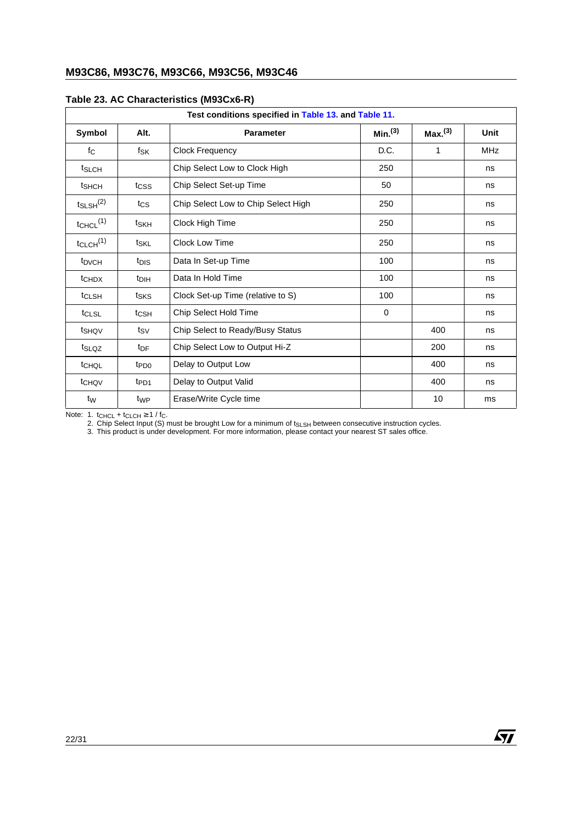|                           | Test conditions specified in Table 13. and Table 11. |                                     |                     |                     |            |  |  |
|---------------------------|------------------------------------------------------|-------------------------------------|---------------------|---------------------|------------|--|--|
| Symbol                    | Alt.                                                 | <b>Parameter</b>                    | Min. <sup>(3)</sup> | Max. <sup>(3)</sup> | Unit       |  |  |
| $f_{\rm C}$               | $f_{\mathsf{SK}}$                                    | <b>Clock Frequency</b>              | D.C.                | 1                   | <b>MHz</b> |  |  |
| t <sub>SLCH</sub>         |                                                      | Chip Select Low to Clock High       | 250                 |                     | ns         |  |  |
| tshch                     | tcss                                                 | Chip Select Set-up Time             | 50                  |                     | ns         |  |  |
| $t_{SLSH}$ <sup>(2)</sup> | $t_{\text{CS}}$                                      | Chip Select Low to Chip Select High | 250                 |                     | ns         |  |  |
| $t$ CHCL $(1)$            | t <sub>SKH</sub>                                     | Clock High Time                     | 250                 |                     | ns         |  |  |
| $t_{CLCH}$ <sup>(1)</sup> | t <sub>SKL</sub>                                     | Clock Low Time                      | 250                 |                     | ns         |  |  |
| t <sub>DVCH</sub>         | t <sub>DIS</sub>                                     | Data In Set-up Time                 | 100                 |                     | ns         |  |  |
| <b>t</b> CHDX             | t <sub>DIH</sub>                                     | Data In Hold Time                   | 100                 |                     | ns         |  |  |
| t <sub>CLSH</sub>         | tsks                                                 | Clock Set-up Time (relative to S)   | 100                 |                     | ns         |  |  |
| t <sub>CLSL</sub>         | t <sub>CSH</sub>                                     | Chip Select Hold Time               | $\mathbf 0$         |                     | ns         |  |  |
| tshqv                     | ts∨                                                  | Chip Select to Ready/Busy Status    |                     | 400                 | ns         |  |  |
| t <sub>SLQZ</sub>         | t <sub>DF</sub>                                      | Chip Select Low to Output Hi-Z      |                     | 200                 | ns         |  |  |
| t <sub>CHQL</sub>         | t <sub>PD0</sub>                                     | Delay to Output Low                 |                     | 400                 | ns         |  |  |
| t <sub>CHQV</sub>         | t <sub>PD1</sub>                                     | Delay to Output Valid               |                     | 400                 | ns         |  |  |
| t <sub>W</sub>            | t <sub>WP</sub>                                      | Erase/Write Cycle time              |                     | 10                  | ms         |  |  |

#### <span id="page-22-0"></span>**Table 23. AC Characteristics (M93Cx6-R)**

Note: 1.  $t_{CHCL} + t_{CLCH} \geq 1 / f_C$ .

2. Chip Select Input (S) must be brought Low for a minimum of t<sub>SLSH</sub> between consecutive instruction cycles.

 $\sqrt{M}$ 

3. This product is under development. For more information, please contact your nearest ST sales office.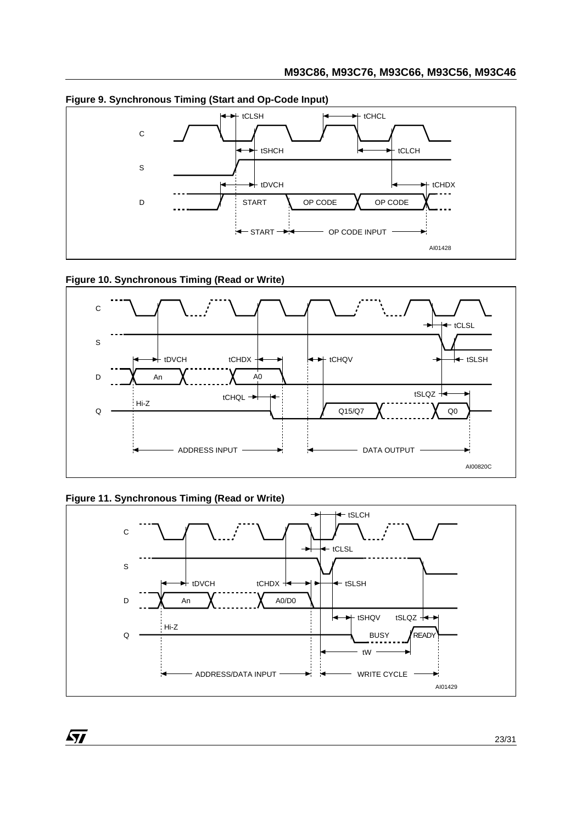

### <span id="page-23-0"></span>**Figure 9. Synchronous Timing (Start and Op-Code Input)**

### <span id="page-23-1"></span>**Figure 10. Synchronous Timing (Read or Write)**



### <span id="page-23-2"></span>**Figure 11. Synchronous Timing (Read or Write)**

97

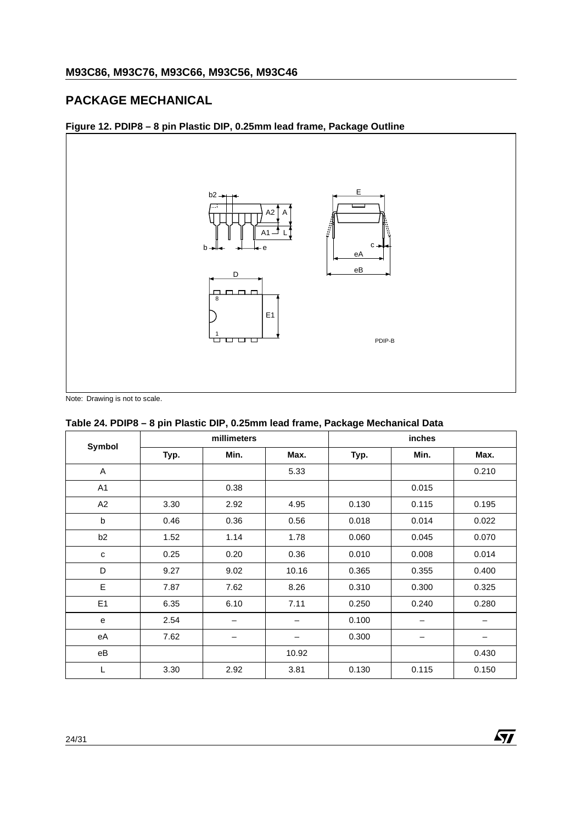# <span id="page-24-0"></span>**PACKAGE MECHANICAL**

<span id="page-24-1"></span>



### <span id="page-24-2"></span>**Table 24. PDIP8 – 8 pin Plastic DIP, 0.25mm lead frame, Package Mechanical Data**

|                | millimeters |      |       |       | inches |       |
|----------------|-------------|------|-------|-------|--------|-------|
| Symbol         | Typ.        | Min. | Max.  | Typ.  | Max.   |       |
| A              |             |      | 5.33  |       |        | 0.210 |
| A <sub>1</sub> |             | 0.38 |       |       | 0.015  |       |
| A2             | 3.30        | 2.92 | 4.95  | 0.130 | 0.115  | 0.195 |
| b              | 0.46        | 0.36 | 0.56  | 0.018 | 0.014  | 0.022 |
| b <sub>2</sub> | 1.52        | 1.14 | 1.78  | 0.060 | 0.045  | 0.070 |
| $\mathbf{C}$   | 0.25        | 0.20 | 0.36  | 0.010 | 0.008  | 0.014 |
| D              | 9.27        | 9.02 | 10.16 | 0.365 | 0.355  | 0.400 |
| E              | 7.87        | 7.62 | 8.26  | 0.310 | 0.300  | 0.325 |
| E <sub>1</sub> | 6.35        | 6.10 | 7.11  | 0.250 | 0.240  | 0.280 |
| e              | 2.54        |      |       | 0.100 |        |       |
| eA             | 7.62        |      | -     | 0.300 |        | —     |
| $e\mathsf{B}$  |             |      | 10.92 |       |        | 0.430 |
| L              | 3.30        | 2.92 | 3.81  | 0.130 | 0.115  | 0.150 |

勾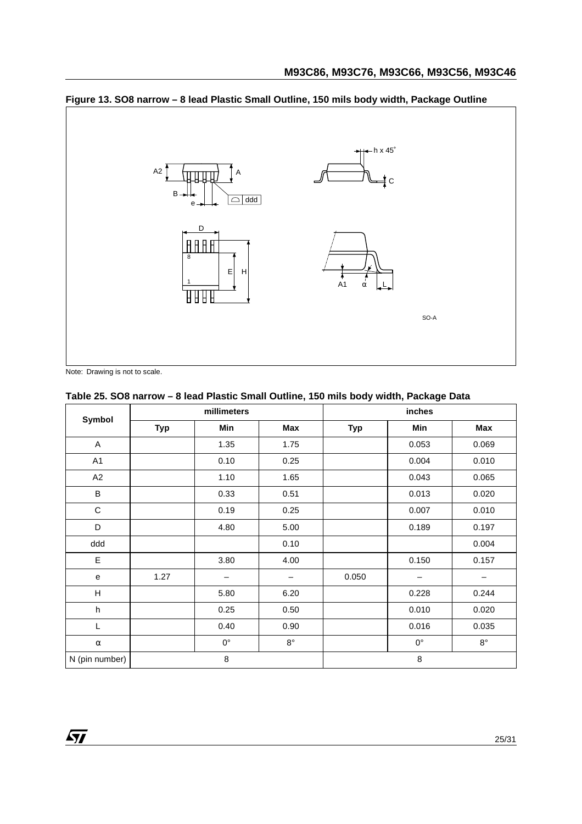# <span id="page-25-0"></span>**Figure 13. SO8 narrow – 8 lead Plastic Small Outline, 150 mils body width, Package Outline**



Note: Drawing is not to scale.

57

### <span id="page-25-1"></span>**Table 25. SO8 narrow – 8 lead Plastic Small Outline, 150 mils body width, Package Data**

|                | millimeters |                   |             |            | inches      |             |
|----------------|-------------|-------------------|-------------|------------|-------------|-------------|
| Symbol         | <b>Typ</b>  | Min               | Max         | <b>Typ</b> | Min         | Max         |
| $\mathsf{A}$   |             | 1.35              | 1.75        |            | 0.053       | 0.069       |
| A1             |             | 0.10              | 0.25        |            | 0.004       | 0.010       |
| A2             |             | 1.10              | 1.65        |            | 0.043       | 0.065       |
| B              |             | 0.33              | 0.51        |            | 0.013       | 0.020       |
| $\mathsf C$    |             | 0.19              | 0.25        |            | 0.007       | 0.010       |
| D              |             | 4.80              | 5.00        |            | 0.189       | 0.197       |
| ddd            |             |                   | 0.10        |            |             | 0.004       |
| E              |             | 3.80              | 4.00        |            | 0.150       | 0.157       |
| e              | 1.27        | $\qquad \qquad -$ | -           | 0.050      | —           | —           |
| H              |             | 5.80              | 6.20        |            | 0.228       | 0.244       |
| h              |             | 0.25              | 0.50        |            | 0.010       | 0.020       |
| L              |             | 0.40              | 0.90        |            | 0.016       | 0.035       |
| $\alpha$       |             | $0^{\circ}$       | $8^{\circ}$ |            | $0^{\circ}$ | $8^{\circ}$ |
| N (pin number) |             | 8                 |             |            | 8           |             |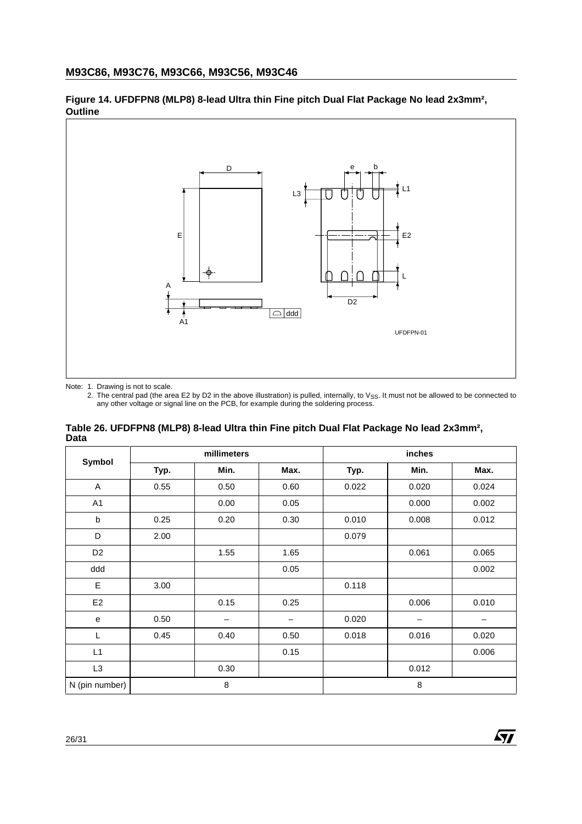

<span id="page-26-0"></span>**Figure 14. UFDFPN8 (MLP8) 8-lead Ultra thin Fine pitch Dual Flat Package No lead 2x3mm², Outline**

Note: 1. Drawing is not to scale.

2. The central pad (the area E2 by D2 in the above illustration) is pulled, internally, to V<sub>SS</sub>. It must not be allowed to be connected to any other voltage or signal line on the PCB, for example during the soldering pro

<span id="page-26-1"></span>

| Table 26. UFDFPN8 (MLP8) 8-lead Ultra thin Fine pitch Dual Flat Package No lead 2x3mm <sup>2</sup> , |  |
|------------------------------------------------------------------------------------------------------|--|
| Data                                                                                                 |  |

| Symbol         |      | millimeters |                 |       | inches |       |
|----------------|------|-------------|-----------------|-------|--------|-------|
|                | Typ. | Min.        | Max.            | Typ.  | Min.   | Max.  |
| A              | 0.55 | 0.50        | 0.60            | 0.022 | 0.020  | 0.024 |
| A <sub>1</sub> |      | 0.00        | 0.05            |       | 0.000  | 0.002 |
| b              | 0.25 | 0.20        | 0.30            | 0.010 | 0.008  | 0.012 |
| D              | 2.00 |             |                 | 0.079 |        |       |
| D <sub>2</sub> |      | 1.55        | 1.65            |       | 0.061  | 0.065 |
| ddd            |      |             | 0.05            |       |        | 0.002 |
| E              | 3.00 |             |                 | 0.118 |        |       |
| E <sub>2</sub> |      | 0.15        | 0.25            |       | 0.006  | 0.010 |
| e              | 0.50 | -           | $\qquad \qquad$ | 0.020 | -      | -     |
| L              | 0.45 | 0.40        | 0.50            | 0.018 | 0.016  | 0.020 |
| L1             |      |             | 0.15            |       |        | 0.006 |
| L3             |      | 0.30        |                 |       | 0.012  |       |
| N (pin number) |      | 8           |                 |       | 8      |       |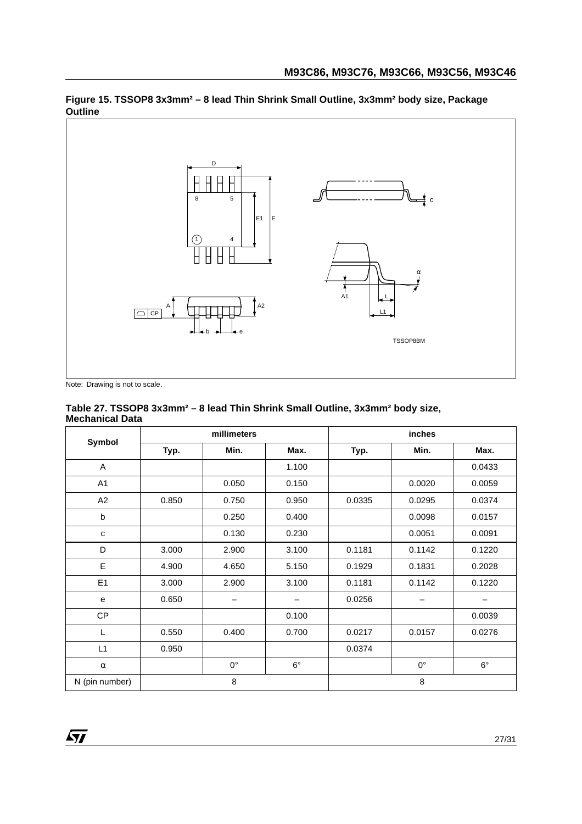

<span id="page-27-0"></span>**Figure 15. TSSOP8 3x3mm² – 8 lead Thin Shrink Small Outline, 3x3mm² body size, Package Outline**

Note: Drawing is not to scale.

#### <span id="page-27-1"></span>**Table 27. TSSOP8 3x3mm² – 8 lead Thin Shrink Small Outline, 3x3mm² body size, Mechanical Data**

|                |       | millimeters |             |        | inches       |           |  |
|----------------|-------|-------------|-------------|--------|--------------|-----------|--|
| Symbol         | Typ.  | Min.        | Max.        | Typ.   | Min.<br>Max. |           |  |
| Α              |       |             | 1.100       |        |              | 0.0433    |  |
| A1             |       | 0.050       | 0.150       |        | 0.0020       | 0.0059    |  |
| A2             | 0.850 | 0.750       | 0.950       | 0.0335 | 0.0295       | 0.0374    |  |
| b              |       | 0.250       | 0.400       |        | 0.0098       | 0.0157    |  |
| $\mathbf{C}$   |       | 0.130       | 0.230       |        | 0.0051       | 0.0091    |  |
| D              | 3.000 | 2.900       | 3.100       | 0.1181 | 0.1142       | 0.1220    |  |
| E              | 4.900 | 4.650       | 5.150       | 0.1929 | 0.1831       | 0.2028    |  |
| E <sub>1</sub> | 3.000 | 2.900       | 3.100       | 0.1181 | 0.1142       | 0.1220    |  |
| e              | 0.650 |             |             | 0.0256 |              |           |  |
| CP             |       |             | 0.100       |        |              | 0.0039    |  |
| L              | 0.550 | 0.400       | 0.700       | 0.0217 | 0.0157       | 0.0276    |  |
| L1             | 0.950 |             |             | 0.0374 |              |           |  |
| $\alpha$       |       | $0^{\circ}$ | $6^{\circ}$ |        | $0^{\circ}$  | $6^\circ$ |  |
| N (pin number) |       | 8           |             | 8      |              |           |  |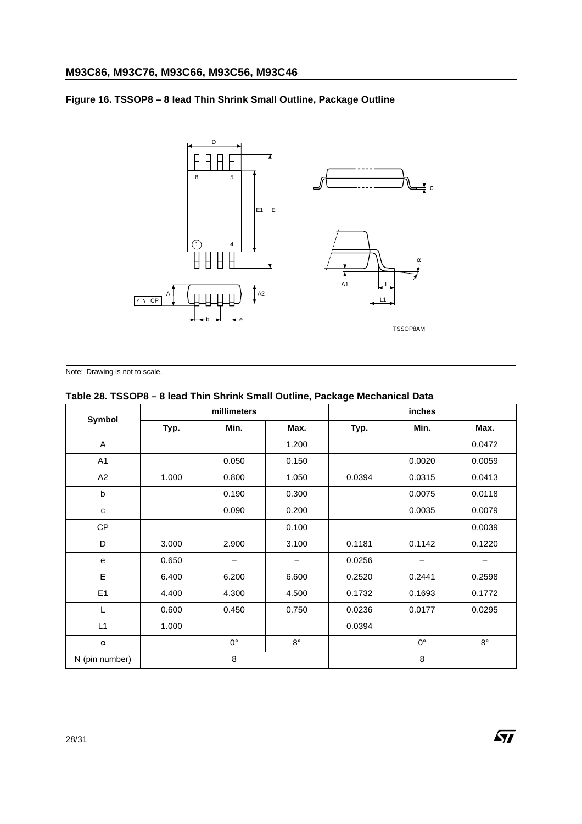# **M93C86, M93C76, M93C66, M93C56, M93C46**

### <span id="page-28-0"></span>**Figure 16. TSSOP8 – 8 lead Thin Shrink Small Outline, Package Outline**



Note: Drawing is not to scale.

### <span id="page-28-1"></span>**Table 28. TSSOP8 – 8 lead Thin Shrink Small Outline, Package Mechanical Data**

|                |       | millimeters |             | inches |             |             |  |
|----------------|-------|-------------|-------------|--------|-------------|-------------|--|
| Symbol         | Typ.  | Min.        | Max.        | Typ.   | Max.        |             |  |
| A              |       |             | 1.200       |        |             | 0.0472      |  |
| A <sub>1</sub> |       | 0.050       | 0.150       |        | 0.0020      | 0.0059      |  |
| A2             | 1.000 | 0.800       | 1.050       | 0.0394 | 0.0315      | 0.0413      |  |
| b              |       | 0.190       | 0.300       |        | 0.0075      | 0.0118      |  |
| c              |       | 0.090       | 0.200       |        | 0.0035      | 0.0079      |  |
| CP             |       |             | 0.100       |        |             | 0.0039      |  |
| D              | 3.000 | 2.900       | 3.100       | 0.1181 | 0.1142      | 0.1220      |  |
| e              | 0.650 | —           | -           | 0.0256 |             | —           |  |
| E              | 6.400 | 6.200       | 6.600       | 0.2520 | 0.2441      | 0.2598      |  |
| E <sub>1</sub> | 4.400 | 4.300       | 4.500       | 0.1732 | 0.1693      | 0.1772      |  |
| L              | 0.600 | 0.450       | 0.750       | 0.0236 | 0.0177      | 0.0295      |  |
| L1             | 1.000 |             |             | 0.0394 |             |             |  |
| $\alpha$       |       | $0^{\circ}$ | $8^{\circ}$ |        | $0^{\circ}$ | $8^{\circ}$ |  |
| N (pin number) |       | 8           |             |        | 8           |             |  |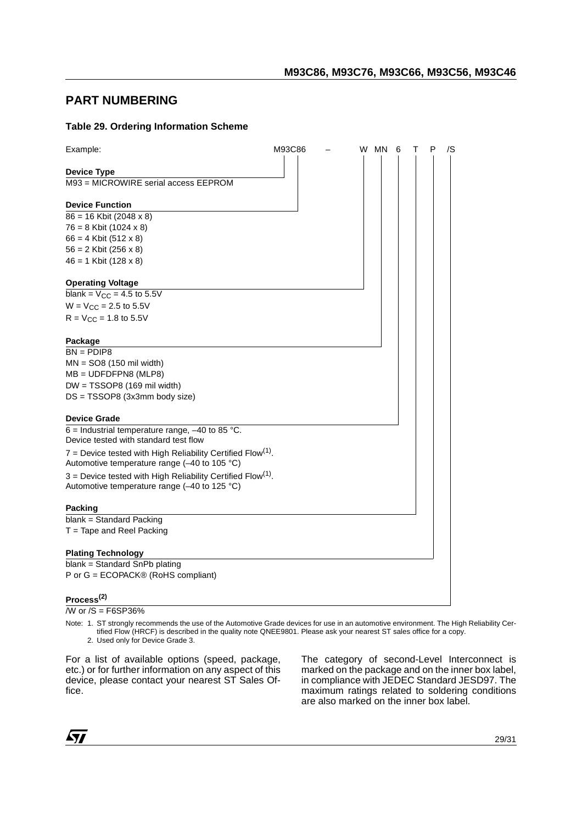# <span id="page-29-0"></span>**PART NUMBERING**

#### <span id="page-29-1"></span>**Table 29. Ordering Information Scheme**

| Example:                                                                                                                  | M93C86 |  | W MN | 6 | P | /S |
|---------------------------------------------------------------------------------------------------------------------------|--------|--|------|---|---|----|
| <b>Device Type</b>                                                                                                        |        |  |      |   |   |    |
| M93 = MICROWIRE serial access EEPROM                                                                                      |        |  |      |   |   |    |
| <b>Device Function</b>                                                                                                    |        |  |      |   |   |    |
| $86 = 16$ Kbit (2048 x 8)                                                                                                 |        |  |      |   |   |    |
| 76 = 8 Kbit (1024 x 8)                                                                                                    |        |  |      |   |   |    |
| $66 = 4$ Kbit (512 x 8)                                                                                                   |        |  |      |   |   |    |
| $56 = 2$ Kbit (256 x 8)                                                                                                   |        |  |      |   |   |    |
| $46 = 1$ Kbit (128 x 8)                                                                                                   |        |  |      |   |   |    |
| <b>Operating Voltage</b>                                                                                                  |        |  |      |   |   |    |
| blank = $V_{CC}$ = 4.5 to 5.5V                                                                                            |        |  |      |   |   |    |
| $W = V_{CC} = 2.5$ to 5.5V                                                                                                |        |  |      |   |   |    |
| $R = V_{CC} = 1.8$ to 5.5V                                                                                                |        |  |      |   |   |    |
| Package                                                                                                                   |        |  |      |   |   |    |
| $BN = PDIP8$                                                                                                              |        |  |      |   |   |    |
| $MN = SO8$ (150 mil width)                                                                                                |        |  |      |   |   |    |
| $MB = UDFDFPNS (MLP8)$                                                                                                    |        |  |      |   |   |    |
| DW = TSSOP8 (169 mil width)                                                                                               |        |  |      |   |   |    |
| DS = TSSOP8 (3x3mm body size)                                                                                             |        |  |      |   |   |    |
| <b>Device Grade</b>                                                                                                       |        |  |      |   |   |    |
| $6$ = Industrial temperature range, -40 to 85 °C.<br>Device tested with standard test flow                                |        |  |      |   |   |    |
| $7$ = Device tested with High Reliability Certified Flow <sup>(1)</sup> .<br>Automotive temperature range (-40 to 105 °C) |        |  |      |   |   |    |
| $3$ = Device tested with High Reliability Certified Flow <sup>(1)</sup> .                                                 |        |  |      |   |   |    |
| Automotive temperature range (-40 to 125 °C)                                                                              |        |  |      |   |   |    |
| <b>Packing</b>                                                                                                            |        |  |      |   |   |    |
| blank = Standard Packing                                                                                                  |        |  |      |   |   |    |
| $T =$ Tape and Reel Packing                                                                                               |        |  |      |   |   |    |
| <b>Plating Technology</b>                                                                                                 |        |  |      |   |   |    |
| blank = Standard SnPb plating                                                                                             |        |  |      |   |   |    |
| P or G = ECOPACK® (RoHS compliant)                                                                                        |        |  |      |   |   |    |
| Process <sup>(2)</sup>                                                                                                    |        |  |      |   |   |    |

<span id="page-29-2"></span> $\overline{W}$  or  $\overline{S}$  = F6SP36%

Note: 1. ST strongly recommends the use of the Automotive Grade devices for use in an automotive environment. The High Reliability Certified Flow (HRCF) is described in the quality note QNEE9801. Please ask your nearest ST sales office for a copy.

2. Used only for Device Grade 3.

For a list of available options (speed, package, etc.) or for further information on any aspect of this device, please contact your nearest ST Sales Office.

The category of second-Level Interconnect is marked on the package and on the inner box label, in compliance with JEDEC Standard JESD97. The maximum ratings related to soldering conditions are also marked on the inner box label.

57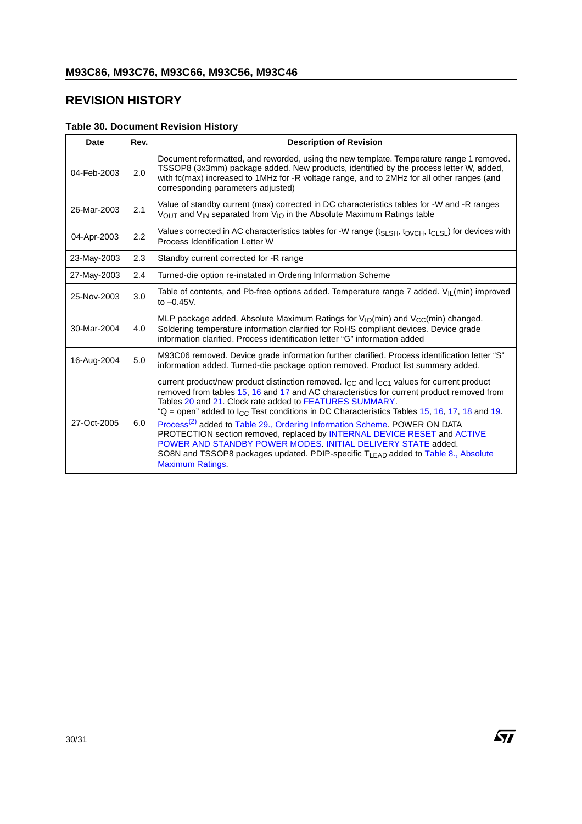# <span id="page-30-0"></span>**REVISION HISTORY**

# <span id="page-30-1"></span>**Table 30. Document Revision History**

| <b>Date</b> | Rev. | <b>Description of Revision</b>                                                                                                                                                                                                                                                                                                                                                                                                                                                                                                                                                                                                                                                                                                      |
|-------------|------|-------------------------------------------------------------------------------------------------------------------------------------------------------------------------------------------------------------------------------------------------------------------------------------------------------------------------------------------------------------------------------------------------------------------------------------------------------------------------------------------------------------------------------------------------------------------------------------------------------------------------------------------------------------------------------------------------------------------------------------|
| 04-Feb-2003 | 2.0  | Document reformatted, and reworded, using the new template. Temperature range 1 removed.<br>TSSOP8 (3x3mm) package added. New products, identified by the process letter W, added,<br>with fc(max) increased to 1MHz for -R voltage range, and to 2MHz for all other ranges (and<br>corresponding parameters adjusted)                                                                                                                                                                                                                                                                                                                                                                                                              |
| 26-Mar-2003 | 2.1  | Value of standby current (max) corrected in DC characteristics tables for -W and -R ranges<br>$V_{\text{OUT}}$ and $V_{\text{IN}}$ separated from $V_{\text{IO}}$ in the Absolute Maximum Ratings table                                                                                                                                                                                                                                                                                                                                                                                                                                                                                                                             |
| 04-Apr-2003 | 2.2  | Values corrected in AC characteristics tables for -W range $(t_{SLSH}, t_{DVCH}, t_{CLSL})$ for devices with<br>Process Identification Letter W                                                                                                                                                                                                                                                                                                                                                                                                                                                                                                                                                                                     |
| 23-May-2003 | 2.3  | Standby current corrected for -R range                                                                                                                                                                                                                                                                                                                                                                                                                                                                                                                                                                                                                                                                                              |
| 27-May-2003 | 2.4  | Turned-die option re-instated in Ordering Information Scheme                                                                                                                                                                                                                                                                                                                                                                                                                                                                                                                                                                                                                                                                        |
| 25-Nov-2003 | 3.0  | Table of contents, and Pb-free options added. Temperature range 7 added. $V_{\parallel \parallel}$ (min) improved<br>to $-0.45V$ .                                                                                                                                                                                                                                                                                                                                                                                                                                                                                                                                                                                                  |
| 30-Mar-2004 | 4.0  | MLP package added. Absolute Maximum Ratings for $V_{10}(min)$ and $V_{CC}(min)$ changed.<br>Soldering temperature information clarified for RoHS compliant devices. Device grade<br>information clarified. Process identification letter "G" information added                                                                                                                                                                                                                                                                                                                                                                                                                                                                      |
| 16-Aug-2004 | 5.0  | M93C06 removed. Device grade information further clarified. Process identification letter "S"<br>information added. Turned-die package option removed. Product list summary added.                                                                                                                                                                                                                                                                                                                                                                                                                                                                                                                                                  |
| 27-Oct-2005 | 6.0  | current product/new product distinction removed. $I_{CC}$ and $I_{CC1}$ values for current product<br>removed from tables 15, 16 and 17 and AC characteristics for current product removed from<br>Tables 20 and 21. Clock rate added to FEATURES SUMMARY.<br>"Q = open" added to $I_{\rm CC}$ Test conditions in DC Characteristics Tables 15, 16, 17, 18 and 19.<br>Process <sup>(2)</sup> added to Table 29., Ordering Information Scheme. POWER ON DATA<br>PROTECTION section removed, replaced by INTERNAL DEVICE RESET and ACTIVE<br>POWER AND STANDBY POWER MODES, INITIAL DELIVERY STATE added.<br>SO8N and TSSOP8 packages updated. PDIP-specific T <sub>LEAD</sub> added to Table 8., Absolute<br><b>Maximum Ratings.</b> |

 $\sqrt{M}$